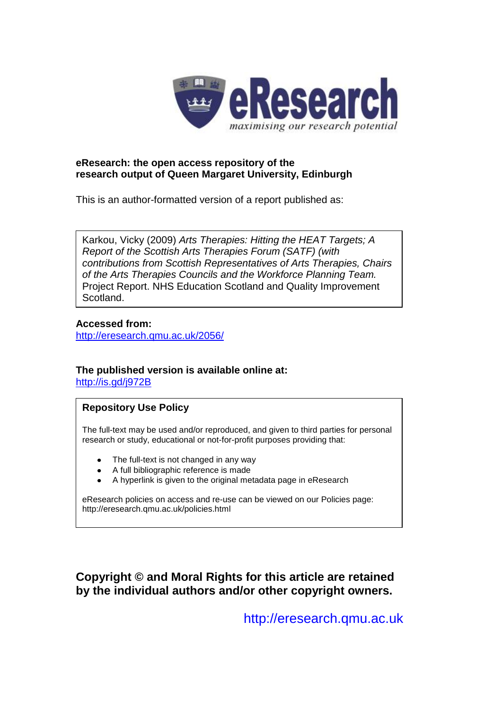

#### **eResearch: the open access repository of the research output of Queen Margaret University, Edinburgh**

This is an author-formatted version of a report published as:

Karkou, Vicky (2009) *Arts Therapies: Hitting the HEAT Targets; A Report of the Scottish Arts Therapies Forum (SATF) (with contributions from Scottish Representatives of Arts Therapies, Chairs of the Arts Therapies Councils and the Workforce Planning Team.* Project Report. NHS Education Scotland and Quality Improvement Scotland.

#### **Accessed from:**

<http://eresearch.qmu.ac.uk/2056/>

## **The published version is available online at:**

<http://is.gd/j972B>

#### **Repository Use Policy**

The full-text may be used and/or reproduced, and given to third parties for personal research or study, educational or not-for-profit purposes providing that:

- The full-text is not changed in any way
- A full bibliographic reference is made
- A hyperlink is given to the original metadata page in eResearch

eResearch policies on access and re-use can be viewed on our Policies page: <http://eresearch.qmu.ac.uk/policies.html>

**Copyright © and Moral Rights for this article are retained by the individual authors and/or other copyright owners.**

[http://eresearch.qmu.ac.uk](http://eresearch.qmu.ac.uk/)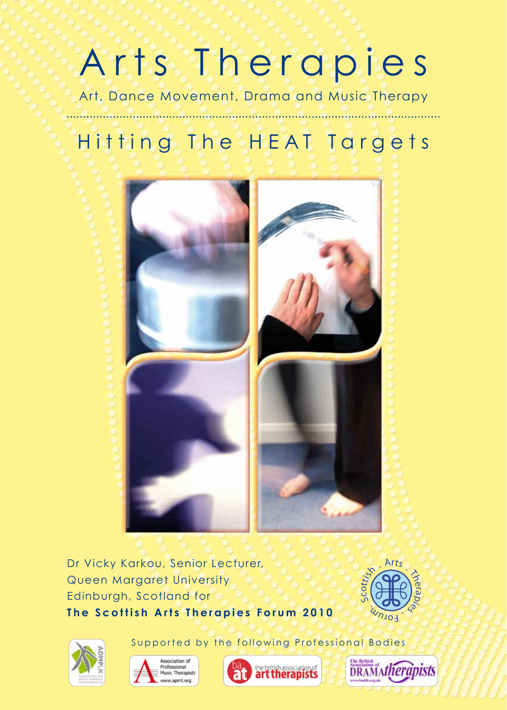# Arts Therapies

Art, Dance Movement, Drama and Music Therapy

# Hitting The HEAT Targets



Dr Vicky Karkou, Senior Lecturer, Queen Margaret University Edinburgh, Scotland for **The Scottish Arts Therapies Forum 2010** 











Supported by the following Professional Bodies

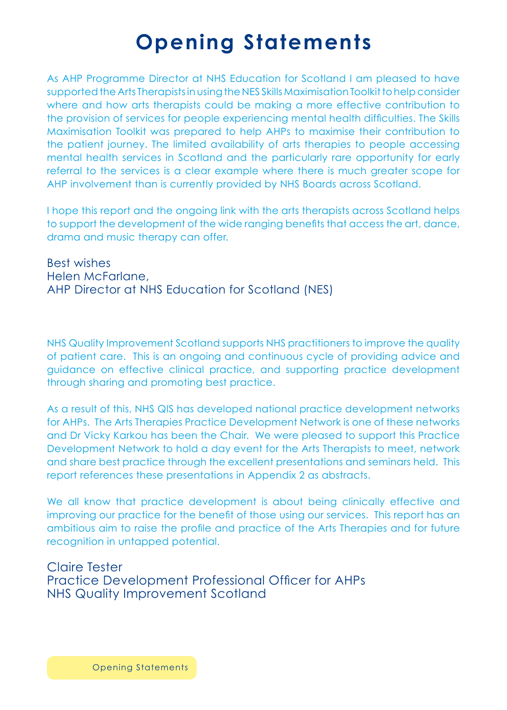# **Opening Statements**

As AHP Programme Director at NHS Education for Scotland I am pleased to have supported the Arts Therapists in using the NES Skills Maximisation Toolkit to help consider where and how arts therapists could be making a more effective contribution to the provision of services for people experiencing mental health difficulties. The Skills Maximisation Toolkit was prepared to help AHPs to maximise their contribution to the patient journey. The limited availability of arts therapies to people accessing mental health services in Scotland and the particularly rare opportunity for early referral to the services is a clear example where there is much greater scope for AHP involvement than is currently provided by NHS Boards across Scotland.

I hope this report and the ongoing link with the arts therapists across Scotland helps to support the development of the wide ranging benefits that access the art, dance, drama and music therapy can offer.

Best wishes Helen McFarlane, AHP Director at NHS Education for Scotland (NES)

NHS Quality Improvement Scotland supports NHS practitioners to improve the quality of patient care. This is an ongoing and continuous cycle of providing advice and guidance on effective clinical practice, and supporting practice development through sharing and promoting best practice.

As a result of this, NHS QIS has developed national practice development networks for AHPs. The Arts Therapies Practice Development Network is one of these networks and Dr Vicky Karkou has been the Chair. We were pleased to support this Practice Development Network to hold a day event for the Arts Therapists to meet, network and share best practice through the excellent presentations and seminars held. This report references these presentations in Appendix 2 as abstracts.

We all know that practice development is about being clinically effective and improving our practice for the benefit of those using our services. This report has an ambitious aim to raise the profile and practice of the Arts Therapies and for future recognition in untapped potential.

#### Claire Tester Practice Development Professional Officer for AHPs NHS Quality Improvement Scotland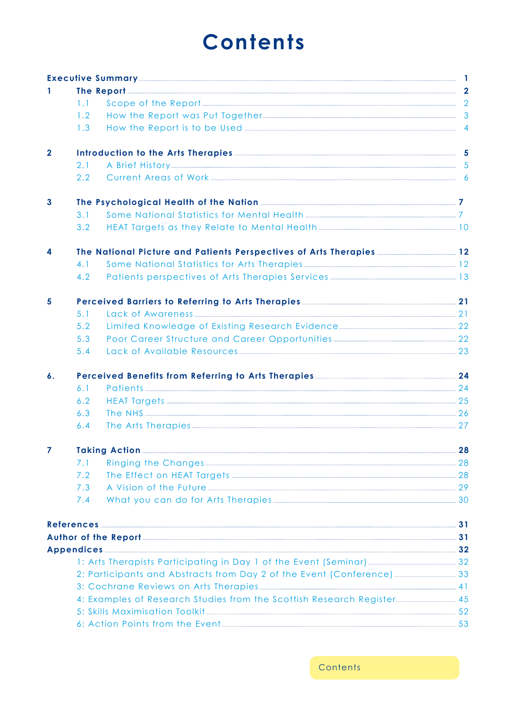# **Contents**

|                    |                                                                                                                                                                                                                               | Executive Summary 2008 and 2008 and 2008 and 2008 and 2008 and 2008 and 2008 and 2008 and 2008 and 2008 and 20                                                                                                                           |  |  |  |  |  |
|--------------------|-------------------------------------------------------------------------------------------------------------------------------------------------------------------------------------------------------------------------------|------------------------------------------------------------------------------------------------------------------------------------------------------------------------------------------------------------------------------------------|--|--|--|--|--|
| 1                  | The Report 22 methods of the Report 22 methods of the Report 22 methods of the Report 22 methods of the Report 22 methods of the Report 22 methods of the Report 22 methods of the Report 22 methods of the Report 22 methods |                                                                                                                                                                                                                                          |  |  |  |  |  |
|                    | 1.1                                                                                                                                                                                                                           | Scope of the Report 2                                                                                                                                                                                                                    |  |  |  |  |  |
|                    | 1.2                                                                                                                                                                                                                           | How the Report was Put Together 2000 and 2000 and 2000 and 2000 and 2000 and 2000 and 2000 and 2000 and 2000 and 2000 and 2000 and 2000 and 2000 and 2000 and 2000 and 2000 and 2000 and 2000 and 2000 and 2000 and 2000 and 2           |  |  |  |  |  |
|                    | 1.3                                                                                                                                                                                                                           |                                                                                                                                                                                                                                          |  |  |  |  |  |
| $\mathbf{2}$       |                                                                                                                                                                                                                               |                                                                                                                                                                                                                                          |  |  |  |  |  |
|                    | 2.1                                                                                                                                                                                                                           | A Brief History 5                                                                                                                                                                                                                        |  |  |  |  |  |
|                    | 2.2                                                                                                                                                                                                                           | Current Areas of Work 64 and 200 million and 200 million and 200 million and 200 million and 200 million and 20                                                                                                                          |  |  |  |  |  |
| $\mathbf{3}$       |                                                                                                                                                                                                                               |                                                                                                                                                                                                                                          |  |  |  |  |  |
|                    | 3.1                                                                                                                                                                                                                           |                                                                                                                                                                                                                                          |  |  |  |  |  |
|                    | 3.2                                                                                                                                                                                                                           | HEAT Targets as they Relate to Mental Health <b>[47]</b> The Mental Health <b>[48]</b> The Mental Mental Mental Mental Mental Mental Mental Mental Mental Mental Mental Mental Mental Mental Mental Mental Mental Mental Mental Mental M |  |  |  |  |  |
| 4                  |                                                                                                                                                                                                                               | The National Picture and Patients Perspectives of Arts Therapies 2008 2012                                                                                                                                                               |  |  |  |  |  |
|                    | 4.1                                                                                                                                                                                                                           | Some National Statistics for Arts Therapies                                                                                                                                                                                              |  |  |  |  |  |
|                    | 4.2                                                                                                                                                                                                                           |                                                                                                                                                                                                                                          |  |  |  |  |  |
| 5                  |                                                                                                                                                                                                                               |                                                                                                                                                                                                                                          |  |  |  |  |  |
|                    | 5.1                                                                                                                                                                                                                           | Lack of Awareness 21                                                                                                                                                                                                                     |  |  |  |  |  |
|                    | 5.2                                                                                                                                                                                                                           | Limited Knowledge of Existing Research Evidence 22                                                                                                                                                                                       |  |  |  |  |  |
|                    | 5.3                                                                                                                                                                                                                           |                                                                                                                                                                                                                                          |  |  |  |  |  |
|                    | 5.4                                                                                                                                                                                                                           | Lack of Available Resources 23                                                                                                                                                                                                           |  |  |  |  |  |
| $\boldsymbol{6}$ . | Perceived Benefits from Referring to Arts Therapies <b>Manual Action 24</b> 24                                                                                                                                                |                                                                                                                                                                                                                                          |  |  |  |  |  |
|                    | 6.1                                                                                                                                                                                                                           | Patients 24                                                                                                                                                                                                                              |  |  |  |  |  |
|                    | 6.2                                                                                                                                                                                                                           |                                                                                                                                                                                                                                          |  |  |  |  |  |
|                    | 6.3                                                                                                                                                                                                                           |                                                                                                                                                                                                                                          |  |  |  |  |  |
|                    | 6.4                                                                                                                                                                                                                           | The Arts Therapies 27                                                                                                                                                                                                                    |  |  |  |  |  |
| 7                  | Taking Action 28 28                                                                                                                                                                                                           |                                                                                                                                                                                                                                          |  |  |  |  |  |
|                    | 7.1                                                                                                                                                                                                                           | Ringing the Changes 28                                                                                                                                                                                                                   |  |  |  |  |  |
|                    | 7.2                                                                                                                                                                                                                           |                                                                                                                                                                                                                                          |  |  |  |  |  |
|                    | 7.3                                                                                                                                                                                                                           | A Vision of the Future 29                                                                                                                                                                                                                |  |  |  |  |  |
|                    | 7.4                                                                                                                                                                                                                           |                                                                                                                                                                                                                                          |  |  |  |  |  |
|                    |                                                                                                                                                                                                                               | <u>References 31 and 2008 and 2008 and 2008 and 2008 and 2008 and 2008 and 2008 and 2008 and 2008 and 2008 and 20</u>                                                                                                                    |  |  |  |  |  |
|                    |                                                                                                                                                                                                                               |                                                                                                                                                                                                                                          |  |  |  |  |  |
|                    |                                                                                                                                                                                                                               | Appendices 32 and 20 and 20 and 20 and 20 and 20 and 20 and 20 and 20 and 20 and 20 and 20 and 20 and 20 and 20                                                                                                                          |  |  |  |  |  |
|                    |                                                                                                                                                                                                                               |                                                                                                                                                                                                                                          |  |  |  |  |  |
|                    | 2: Participants and Abstracts from Day 2 of the Event (Conference) 2. 2: Participants and Abstracts from Day 2 of the Event (Conference)                                                                                      |                                                                                                                                                                                                                                          |  |  |  |  |  |
|                    |                                                                                                                                                                                                                               |                                                                                                                                                                                                                                          |  |  |  |  |  |
|                    | 45 4: Examples of Research Studies from the Scottish Research Register                                                                                                                                                        |                                                                                                                                                                                                                                          |  |  |  |  |  |
|                    |                                                                                                                                                                                                                               |                                                                                                                                                                                                                                          |  |  |  |  |  |
|                    |                                                                                                                                                                                                                               |                                                                                                                                                                                                                                          |  |  |  |  |  |

**Contents**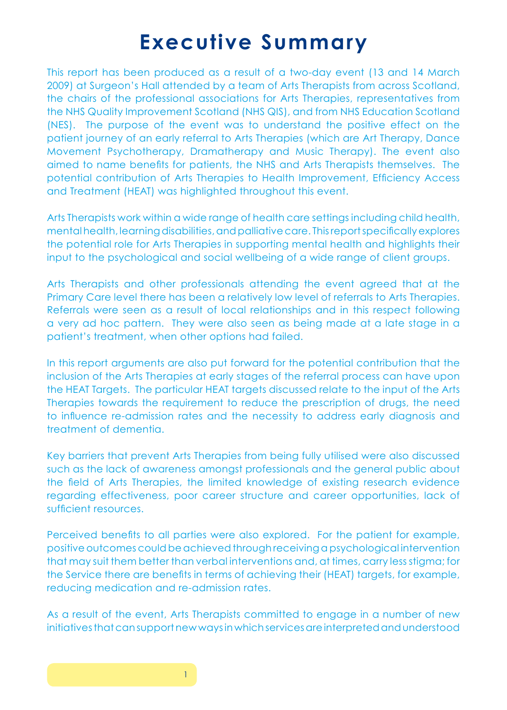## **Executive Summary**

This report has been produced as a result of a two-day event (13 and 14 March 2009) at Surgeon's Hall attended by a team of Arts Therapists from across Scotland, the chairs of the professional associations for Arts Therapies, representatives from the NHS Quality Improvement Scotland (NHS QIS), and from NHS Education Scotland (NES). The purpose of the event was to understand the positive effect on the patient journey of an early referral to Arts Therapies (which are Art Therapy, Dance Movement Psychotherapy, Dramatherapy and Music Therapy). The event also aimed to name benefits for patients, the NHS and Arts Therapists themselves. The potential contribution of Arts Therapies to Health Improvement, Efficiency Access and Treatment (HEAT) was highlighted throughout this event.

Arts Therapists work within a wide range of health care settings including child health, mental health, learning disabilities, and palliative care. This report specifically explores the potential role for Arts Therapies in supporting mental health and highlights their input to the psychological and social wellbeing of a wide range of client groups.

Arts Therapists and other professionals attending the event agreed that at the Primary Care level there has been a relatively low level of referrals to Arts Therapies. Referrals were seen as a result of local relationships and in this respect following a very ad hoc pattern. They were also seen as being made at a late stage in a patient's treatment, when other options had failed.

In this report arguments are also put forward for the potential contribution that the inclusion of the Arts Therapies at early stages of the referral process can have upon the HEAT Targets. The particular HEAT targets discussed relate to the input of the Arts Therapies towards the requirement to reduce the prescription of drugs, the need to influence re-admission rates and the necessity to address early diagnosis and treatment of dementia.

Key barriers that prevent Arts Therapies from being fully utilised were also discussed such as the lack of awareness amongst professionals and the general public about the field of Arts Therapies, the limited knowledge of existing research evidence regarding effectiveness, poor career structure and career opportunities, lack of sufficient resources.

Perceived benefits to all parties were also explored. For the patient for example, positive outcomes could be achieved through receiving a psychological intervention that may suit them better than verbal interventions and, at times, carry less stigma; for the Service there are benefits in terms of achieving their (HEAT) targets, for example, reducing medication and re-admission rates.

As a result of the event, Arts Therapists committed to engage in a number of new initiatives that can support new ways in which services are interpreted and understood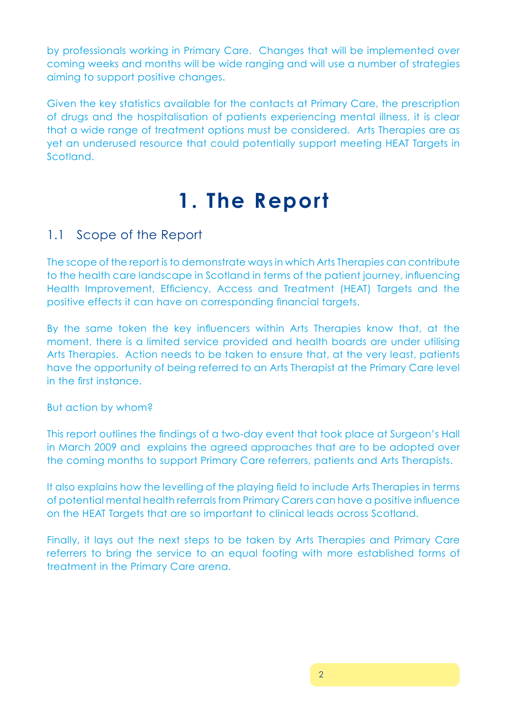by professionals working in Primary Care. Changes that will be implemented over coming weeks and months will be wide ranging and will use a number of strategies aiming to support positive changes.

Given the key statistics available for the contacts at Primary Care, the prescription of drugs and the hospitalisation of patients experiencing mental illness, it is clear that a wide range of treatment options must be considered. Arts Therapies are as yet an underused resource that could potentially support meeting HEAT Targets in Scotland.

# **1. The Report**

## 1.1 Scope of the Report

The scope of the report is to demonstrate ways in which Arts Therapies can contribute to the health care landscape in Scotland in terms of the patient journey, influencing Health Improvement, Efficiency, Access and Treatment (HEAT) Targets and the positive effects it can have on corresponding financial targets.

By the same token the key influencers within Arts Therapies know that, at the moment, there is a limited service provided and health boards are under utilising Arts Therapies. Action needs to be taken to ensure that, at the very least, patients have the opportunity of being referred to an Arts Therapist at the Primary Care level in the first instance.

#### But action by whom?

This report outlines the findings of a two-day event that took place at Surgeon's Hall in March 2009 and explains the agreed approaches that are to be adopted over the coming months to support Primary Care referrers, patients and Arts Therapists.

It also explains how the levelling of the playing field to include Arts Therapies in terms of potential mental health referrals from Primary Carers can have a positive influence on the HEAT Targets that are so important to clinical leads across Scotland.

Finally, it lays out the next steps to be taken by Arts Therapies and Primary Care referrers to bring the service to an equal footing with more established forms of treatment in the Primary Care arena.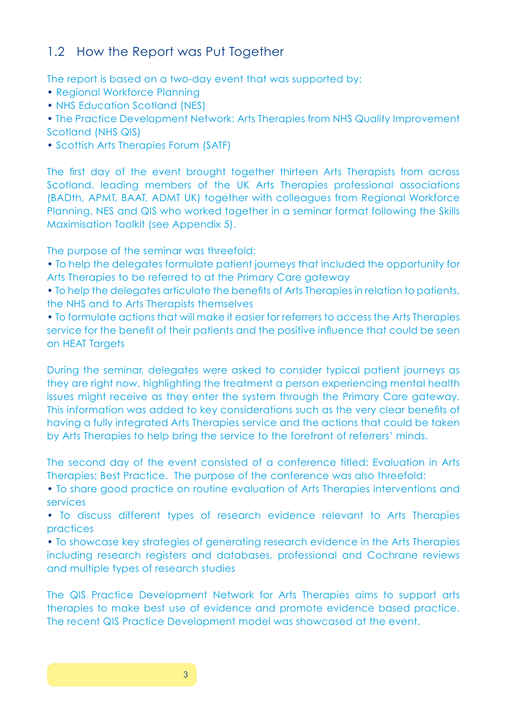## 1.2 How the Report was Put Together

The report is based on a two-day event that was supported by:

- Regional Workforce Planning
- NHS Education Scotland (NES)
- The Practice Development Network: Arts Therapies from NHS Quality Improvement Scotland (NHS QIS)
- Scottish Arts Therapies Forum (SATF)

The first day of the event brought together thirteen Arts Therapists from across Scotland, leading members of the UK Arts Therapies professional associations (BADth, APMT, BAAT, ADMT UK) together with colleagues from Regional Workforce Planning, NES and QIS who worked together in a seminar format following the Skills Maximisation Toolkit (see Appendix 5).

The purpose of the seminar was threefold:

- To help the delegates formulate patient journeys that included the opportunity for Arts Therapies to be referred to at the Primary Care gateway
- To help the delegates articulate the benefits of Arts Therapies in relation to patients, the NHS and to Arts Therapists themselves

• To formulate actions that will make it easier for referrers to access the Arts Therapies service for the benefit of their patients and the positive influence that could be seen on HEAT Targets

During the seminar, delegates were asked to consider typical patient journeys as they are right now, highlighting the treatment a person experiencing mental health issues might receive as they enter the system through the Primary Care gateway. This information was added to key considerations such as the very clear benefits of having a fully integrated Arts Therapies service and the actions that could be taken by Arts Therapies to help bring the service to the forefront of referrers' minds.

The second day of the event consisted of a conference titled: Evaluation in Arts Therapies; Best Practice. The purpose of the conference was also threefold:

• To share good practice on routine evaluation of Arts Therapies interventions and services

• To discuss different types of research evidence relevant to Arts Therapies practices

• To showcase key strategies of generating research evidence in the Arts Therapies including research registers and databases, professional and Cochrane reviews and multiple types of research studies

The QIS Practice Development Network for Arts Therapies aims to support arts therapies to make best use of evidence and promote evidence based practice. The recent QIS Practice Development model was showcased at the event.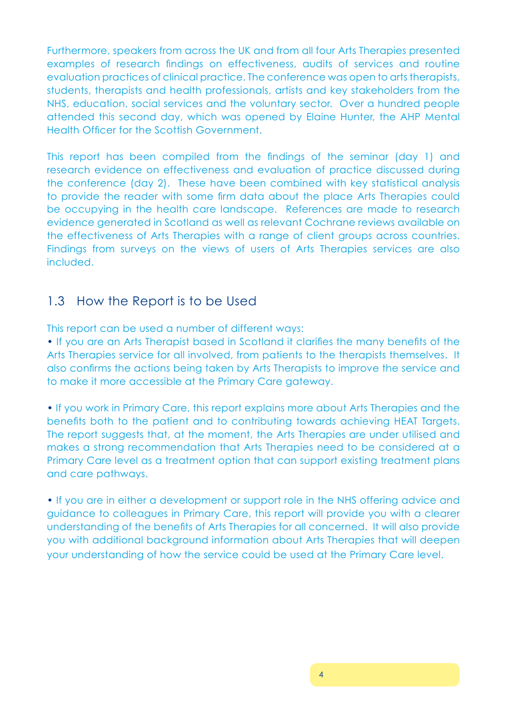Furthermore, speakers from across the UK and from all four Arts Therapies presented examples of research findings on effectiveness, audits of services and routine evaluation practices of clinical practice. The conference was open to arts therapists, students, therapists and health professionals, artists and key stakeholders from the NHS, education, social services and the voluntary sector. Over a hundred people attended this second day, which was opened by Elaine Hunter, the AHP Mental Health Officer for the Scottish Government.

This report has been compiled from the findings of the seminar (day 1) and research evidence on effectiveness and evaluation of practice discussed during the conference (day 2). These have been combined with key statistical analysis to provide the reader with some firm data about the place Arts Therapies could be occupying in the health care landscape. References are made to research evidence generated in Scotland as well as relevant Cochrane reviews available on the effectiveness of Arts Therapies with a range of client groups across countries. Findings from surveys on the views of users of Arts Therapies services are also included.

## 1.3 How the Report is to be Used

This report can be used a number of different ways:

• If you are an Arts Therapist based in Scotland it clarifies the many benefits of the Arts Therapies service for all involved, from patients to the therapists themselves. It also confirms the actions being taken by Arts Therapists to improve the service and to make it more accessible at the Primary Care gateway.

• If you work in Primary Care, this report explains more about Arts Therapies and the benefits both to the patient and to contributing towards achieving HEAT Targets. The report suggests that, at the moment, the Arts Therapies are under utilised and makes a strong recommendation that Arts Therapies need to be considered at a Primary Care level as a treatment option that can support existing treatment plans and care pathways.

• If you are in either a development or support role in the NHS offering advice and guidance to colleagues in Primary Care, this report will provide you with a clearer understanding of the benefits of Arts Therapies for all concerned. It will also provide you with additional background information about Arts Therapies that will deepen your understanding of how the service could be used at the Primary Care level.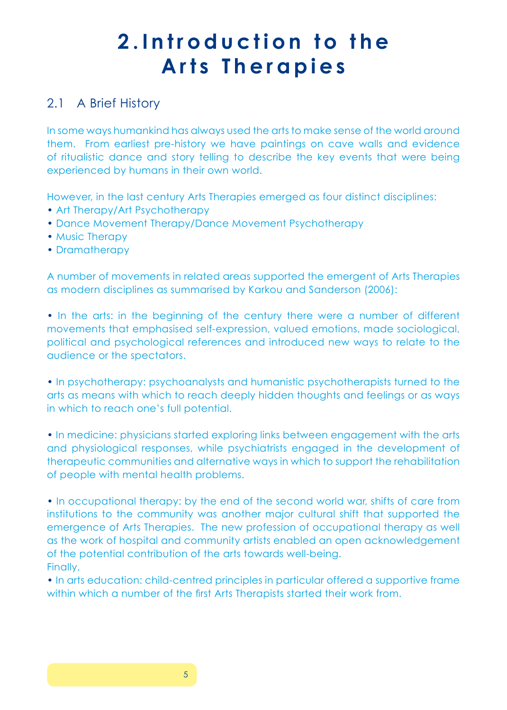# **2 . I n t r o d u c t i o n t o t h e** Arts Therapies

## 2.1 A Brief History

In some ways humankind has always used the arts to make sense of the world around them. From earliest pre-history we have paintings on cave walls and evidence of ritualistic dance and story telling to describe the key events that were being experienced by humans in their own world.

However, in the last century Arts Therapies emerged as four distinct disciplines:

- Art Therapy/Art Psychotherapy
- Dance Movement Therapy/Dance Movement Psychotherapy
- Music Therapy
- Dramatherapy

A number of movements in related areas supported the emergent of Arts Therapies as modern disciplines as summarised by Karkou and Sanderson (2006):

• In the arts: in the beginning of the century there were a number of different movements that emphasised self-expression, valued emotions, made sociological, political and psychological references and introduced new ways to relate to the audience or the spectators.

• In psychotherapy: psychoanalysts and humanistic psychotherapists turned to the arts as means with which to reach deeply hidden thoughts and feelings or as ways in which to reach one's full potential.

• In medicine: physicians started exploring links between engagement with the arts and physiological responses, while psychiatrists engaged in the development of therapeutic communities and alternative ways in which to support the rehabilitation of people with mental health problems.

• In occupational therapy: by the end of the second world war, shifts of care from institutions to the community was another major cultural shift that supported the emergence of Arts Therapies. The new profession of occupational therapy as well as the work of hospital and community artists enabled an open acknowledgement of the potential contribution of the arts towards well-being. Finally,

• In arts education: child-centred principles in particular offered a supportive frame within which a number of the first Arts Therapists started their work from.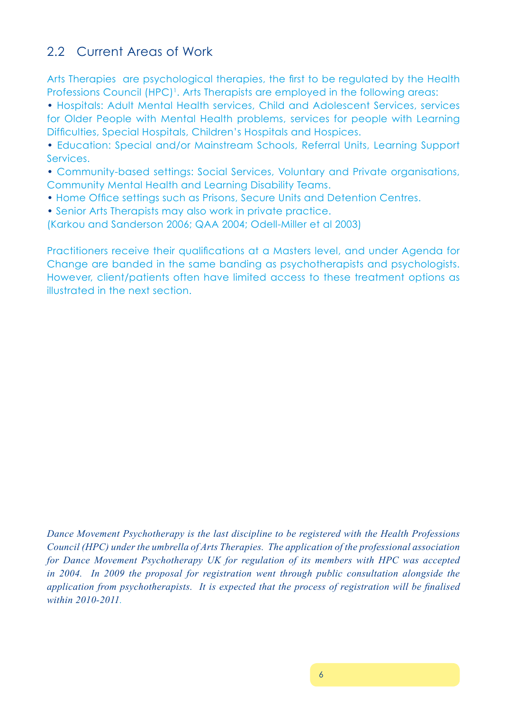## 2.2 Current Areas of Work

Arts Therapies are psychological therapies, the first to be regulated by the Health Professions Council (HPC)<sup>1</sup>. Arts Therapists are employed in the following areas:

• Hospitals: Adult Mental Health services, Child and Adolescent Services, services for Older People with Mental Health problems, services for people with Learning Difficulties, Special Hospitals, Children's Hospitals and Hospices.

• Education: Special and/or Mainstream Schools, Referral Units, Learning Support Services.

• Community-based settings: Social Services, Voluntary and Private organisations, Community Mental Health and Learning Disability Teams.

- Home Office settings such as Prisons, Secure Units and Detention Centres.
- Senior Arts Therapists may also work in private practice.

(Karkou and Sanderson 2006; QAA 2004; Odell-Miller et al 2003)

Practitioners receive their qualifications at a Masters level, and under Agenda for Change are banded in the same banding as psychotherapists and psychologists. However, client/patients often have limited access to these treatment options as illustrated in the next section.

*Dance Movement Psychotherapy is the last discipline to be registered with the Health Professions Council (HPC) under the umbrella of Arts Therapies. The application of the professional association for Dance Movement Psychotherapy UK for regulation of its members with HPC was accepted in 2004. In 2009 the proposal for registration went through public consultation alongside the application from psychotherapists. It is expected that the process of registration will be finalised within 2010-2011.*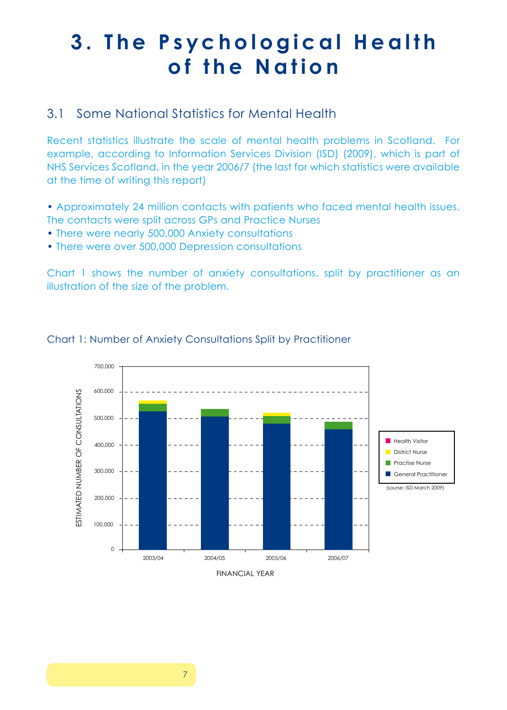# **3. The Psychological Health** of the Nation

## 3.1 Some National Statistics for Mental Health

Recent statistics illustrate the scale of mental health problems in Scotland. For example, according to Information Services Division (ISD) (2009), which is part of NHS Services Scotland, in the year 2006/7 (the last for which statistics were available at the time of writing this report)

• Approximately 24 million contacts with patients who faced mental health issues. The contacts were split across GPs and Practice Nurses

- There were nearly 500,000 Anxiety consultations
- There were over 500,000 Depression consultations

Chart 1 shows the number of anxiety consultations, split by practitioner as an illustration of the size of the problem.



#### Chart 1: Number of Anxiety Consultations Split by Practitioner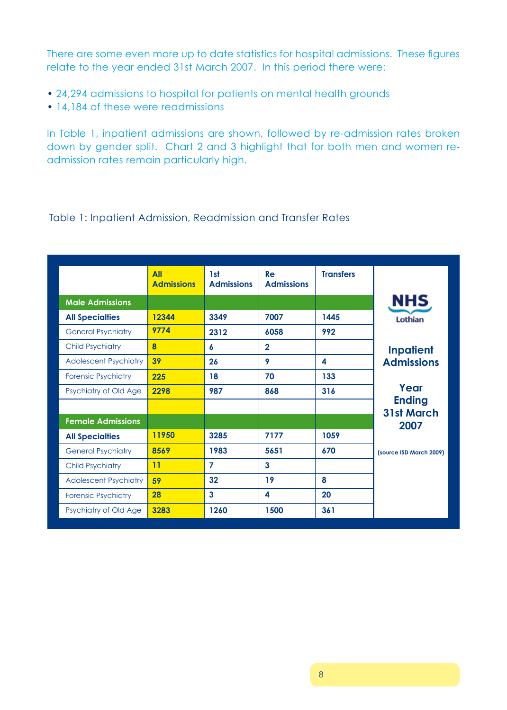There are some even more up to date statistics for hospital admissions. These figures relate to the year ended 31st March 2007. In this period there were:

- 24,294 admissions to hospital for patients on mental health grounds
- 14,184 of these were readmissions

In Table 1, inpatient admissions are shown, followed by re-admission rates broken down by gender split. Chart 2 and 3 highlight that for both men and women readmission rates remain particularly high.

#### Table 1: Inpatient Admission, Readmission and Transfer Rates

|                              | <b>All</b><br><b>Admissions</b> | 1st<br><b>Admissions</b> | Re<br><b>Admissions</b> | <b>Transfers</b> |                                    |
|------------------------------|---------------------------------|--------------------------|-------------------------|------------------|------------------------------------|
| <b>Male Admissions</b>       |                                 |                          |                         |                  | <b>NHS</b>                         |
| <b>All Specialties</b>       | 12344                           | 3349                     | 7007                    | 1445             | Lothian                            |
| <b>General Psychiatry</b>    | 9774                            | 2312                     | 6058                    | 992              |                                    |
| <b>Child Psychiatry</b>      | $\bf{8}$                        | 6                        | $\mathbf{2}$            |                  | <b>Inpatient</b>                   |
| <b>Adolescent Psychiatry</b> | 39                              | 26                       | 9                       | 4                | <b>Admissions</b>                  |
| <b>Forensic Psychiatry</b>   | 225                             | 18                       | 70                      | 133              |                                    |
| Psychiatry of Old Age        | 2298                            | 987                      | 868                     | 316              | Year                               |
|                              |                                 |                          |                         |                  | <b>Ending</b><br><b>31st March</b> |
| <b>Female Admissions</b>     |                                 |                          |                         |                  | 2007                               |
| <b>All Specialties</b>       | 11950                           | 3285                     | 7177                    | 1059             |                                    |
| <b>General Psychiatry</b>    | 8569                            | 1983                     | 5651                    | 670              | (source ISD March 2009)            |
| <b>Child Psychiatry</b>      | 11                              | $\overline{7}$           | $\mathbf{3}$            |                  |                                    |
| <b>Adolescent Psychiatry</b> | 59                              | 32                       | 19                      | 8                |                                    |
| <b>Forensic Psychiatry</b>   | 28                              | $\overline{3}$           | 4                       | 20               |                                    |
| Psychiatry of Old Age        | 3283                            | 1260                     | 1500                    | 361              |                                    |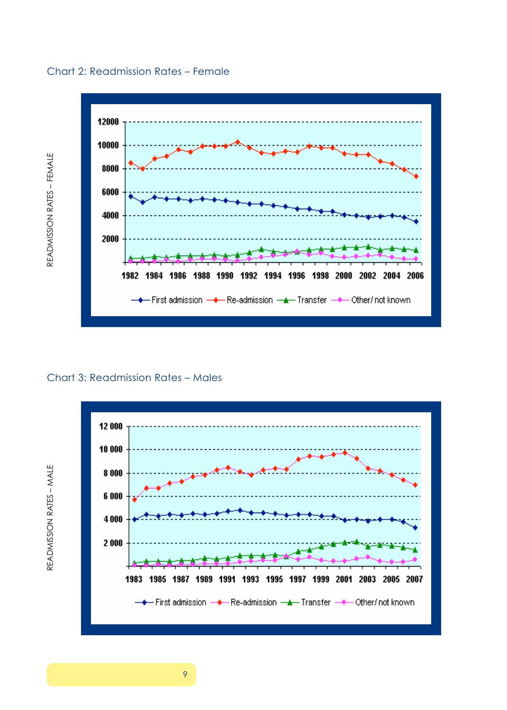



## READMISSION RATES - MALE Chart 3: Readmission Rates – Males Chart 3: Readmission Rates – Males



READMISSION RATES - MALE Readmission Rates – male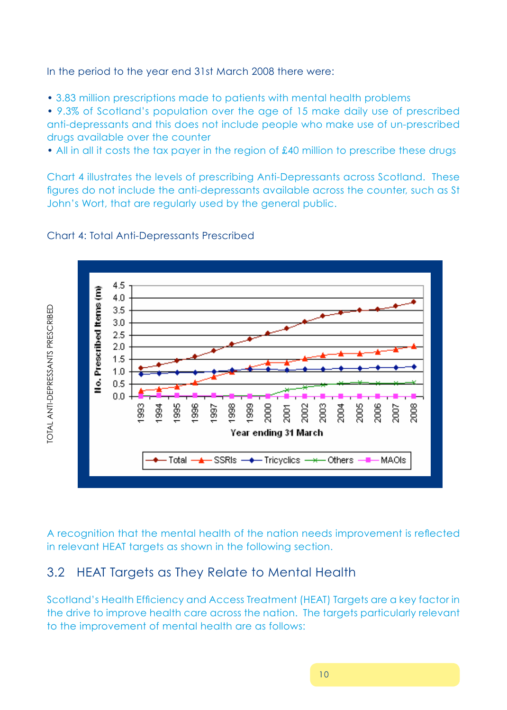In the period to the year end 31st March 2008 there were:

• 3.83 million prescriptions made to patients with mental health problems

anti-depressants and this does not include people who make use of un-prescribed drugs available over the counter and 15 make daily use of prescribed and prescribed and preserve anti-• 9.3% of Scotland's population over the age of 15 make daily use of prescribed

• All in all it costs the tax payer in the region of £40 million to prescribe these drugs available over the counter

enderter and the tax payer in the serigon of the enderginant of the server these the these than the server the server in these than the server in the server in the server in the server in the server in the server in the se figures do not include the anti-depressants available across the counter, such as St John's Wort, that are regularly used by the general public.



## Chart 4: Total Anti-Depressants Prescribed Chart 4: Total Anti-Depressants Prescribed

A recognition that the mental health of the nation needs improvement is reflected in relevant HEAT targets as shown in the following section.

#### **3.2 HEAT Targets as They Relate to Mental Health** 3.2 HEAT Targets as They Relate to Mental Health

Scotland's Health Efficiency and Access Treatment (HEAT) Targets are a key factor in mental din din mental  $\sim$ the drive to improve health care across the nation. The targets particularly relevant to the improvement of mental health are as follows: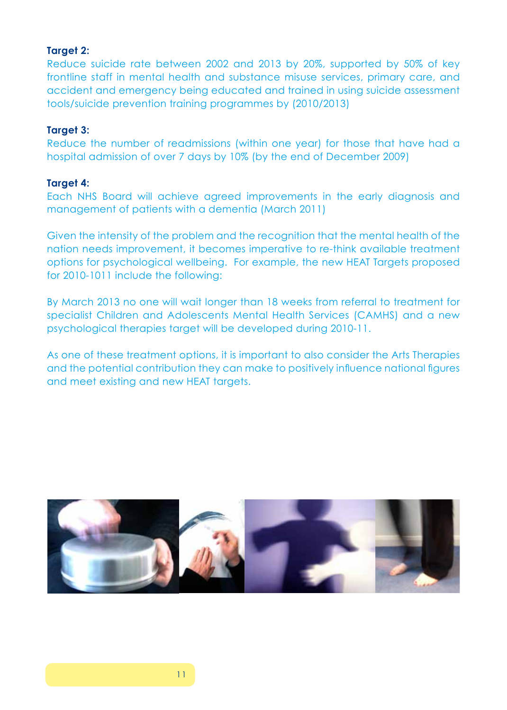#### **Target 2:**

Reduce suicide rate between 2002 and 2013 by 20%, supported by 50% of key frontline staff in mental health and substance misuse services, primary care, and accident and emergency being educated and trained in using suicide assessment tools/suicide prevention training programmes by (2010/2013)

#### **Target 3:**

Reduce the number of readmissions (within one year) for those that have had a hospital admission of over 7 days by 10% (by the end of December 2009)

#### **Target 4:**

Each NHS Board will achieve agreed improvements in the early diagnosis and management of patients with a dementia (March 2011)

Given the intensity of the problem and the recognition that the mental health of the nation needs improvement, it becomes imperative to re-think available treatment options for psychological wellbeing. For example, the new HEAT Targets proposed for 2010-1011 include the following:

By March 2013 no one will wait longer than 18 weeks from referral to treatment for specialist Children and Adolescents Mental Health Services (CAMHS) and a new psychological therapies target will be developed during 2010-11.

As one of these treatment options, it is important to also consider the Arts Therapies and the potential contribution they can make to positively influence national figures and meet existing and new HEAT targets.

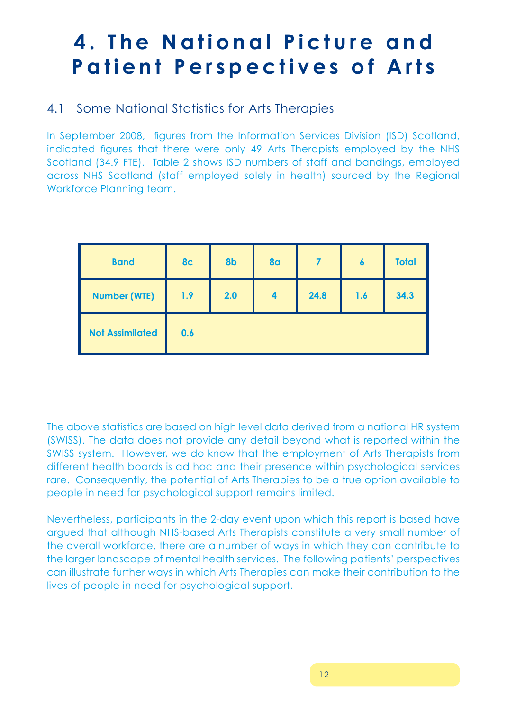# **4. The National Picture and Patient Perspectives of Arts**

## 4.1 Some National Statistics for Arts Therapies

In September 2008, figures from the Information Services Division (ISD) Scotland, indicated figures that there were only 49 Arts Therapists employed by the NHS Scotland (34.9 FTE). Table 2 shows ISD numbers of staff and bandings, employed across NHS Scotland (staff employed solely in health) sourced by the Regional Workforce Planning team.

| <b>Band</b>            | 8 <sub>c</sub> | 8b  | <b>8a</b>               |      | $\boldsymbol{6}$ | <b>Total</b> |
|------------------------|----------------|-----|-------------------------|------|------------------|--------------|
| <b>Number (WTE)</b>    | 1.9            | 2.0 | $\overline{\mathbf{4}}$ | 24.8 | 1.6              | 34.3         |
| <b>Not Assimilated</b> | 0.6            |     |                         |      |                  |              |

The above statistics are based on high level data derived from a national HR system (SWISS). The data does not provide any detail beyond what is reported within the SWISS system. However, we do know that the employment of Arts Therapists from different health boards is ad hoc and their presence within psychological services rare. Consequently, the potential of Arts Therapies to be a true option available to people in need for psychological support remains limited.

Nevertheless, participants in the 2-day event upon which this report is based have argued that although NHS-based Arts Therapists constitute a very small number of the overall workforce, there are a number of ways in which they can contribute to the larger landscape of mental health services. The following patients' perspectives can illustrate further ways in which Arts Therapies can make their contribution to the lives of people in need for psychological support.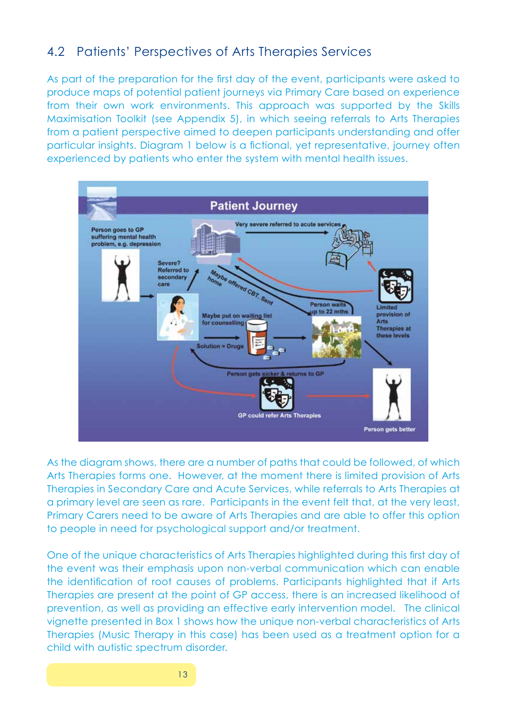## 4.2 Patients' Perspectives of Arts Therapies Services

As part of the preparation for the first day of the event, participants were asked to produce maps of potential patient journeys via Primary Care based on experience from their own work environments. This approach was supported by the Skills Maximisation Toolkit (see Appendix 5), in which seeing referrals to Arts Therapies from a patient perspective aimed to deepen participants understanding and offer particular insights. Diagram 1 below is a fictional, yet representative, journey often experienced by patients who enter the system with mental health issues.



As the diagram shows, there are a number of paths that could be followed, of which Arts Therapies forms one. However, at the moment there is limited provision of Arts Therapies in Secondary Care and Acute Services, while referrals to Arts Therapies at a primary level are seen as rare. Participants in the event felt that, at the very least, Primary Carers need to be aware of Arts Therapies and are able to offer this option to people in need for psychological support and/or treatment.

One of the unique characteristics of Arts Therapies highlighted during this first day of the event was their emphasis upon non-verbal communication which can enable the identification of root causes of problems. Participants highlighted that if Arts Therapies are present at the point of GP access, there is an increased likelihood of prevention, as well as providing an effective early intervention model. The clinical vignette presented in Box 1 shows how the unique non-verbal characteristics of Arts Therapies (Music Therapy in this case) has been used as a treatment option for a child with autistic spectrum disorder.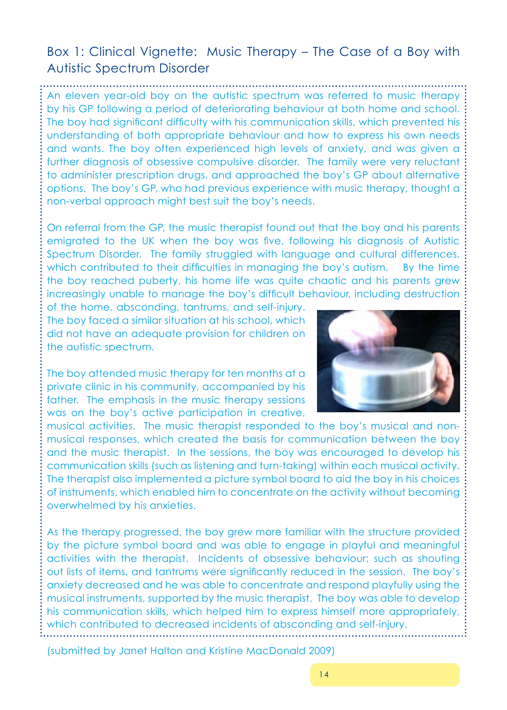## Box 1: Clinical Vignette: Music Therapy – The Case of a Boy with Autistic Spectrum Disorder

An eleven year-old boy on the autistic spectrum was referred to music therapy by his GP following a period of deteriorating behaviour at both home and school. The boy had significant difficulty with his communication skills, which prevented his understanding of both appropriate behaviour and how to express his own needs and wants. The boy often experienced high levels of anxiety, and was given a further diagnosis of obsessive compulsive disorder. The family were very reluctant to administer prescription drugs, and approached the boy's GP about alternative options. The boy's GP, who had previous experience with music therapy, thought a non-verbal approach might best suit the boy's needs.

On referral from the GP, the music therapist found out that the boy and his parents emigrated to the UK when the boy was five, following his diagnosis of Autistic Spectrum Disorder. The family struggled with language and cultural differences, which contributed to their difficulties in managing the boy's autism. By the time the boy reached puberty, his home life was quite chaotic and his parents grew increasingly unable to manage the boy's difficult behaviour, including destruction

of the home, absconding, tantrums, and self-injury. The boy faced a similar situation at his school, which did not have an adequate provision for children on the autistic spectrum.

The boy attended music therapy for ten months at a private clinic in his community, accompanied by his father. The emphasis in the music therapy sessions was on the boy's active participation in creative,



musical activities. The music therapist responded to the boy's musical and nonmusical responses, which created the basis for communication between the boy and the music therapist. In the sessions, the boy was encouraged to develop his communication skills (such as listening and turn-taking) within each musical activity. The therapist also implemented a picture symbol board to aid the boy in his choices of instruments, which enabled him to concentrate on the activity without becoming overwhelmed by his anxieties.

As the therapy progressed, the boy grew more familiar with the structure provided by the picture symbol board and was able to engage in playful and meaningful activities with the therapist. Incidents of obsessive behaviour; such as shouting out lists of items, and tantrums were significantly reduced in the session. The boy's anxiety decreased and he was able to concentrate and respond playfully using the musical instruments, supported by the music therapist. The boy was able to develop his communication skills, which helped him to express himself more appropriately, which contributed to decreased incidents of absconding and self-injury.

(submitted by Janet Halton and Kristine MacDonald 2009)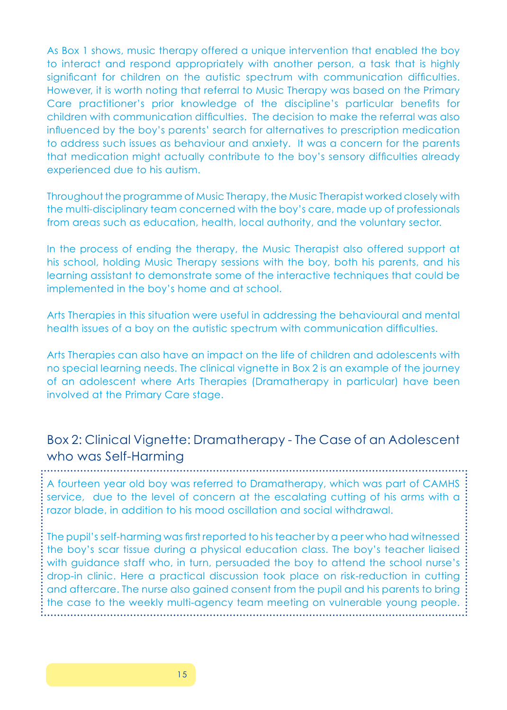As Box 1 shows, music therapy offered a unique intervention that enabled the boy to interact and respond appropriately with another person, a task that is highly significant for children on the autistic spectrum with communication difficulties. However, it is worth noting that referral to Music Therapy was based on the Primary Care practitioner's prior knowledge of the discipline's particular benefits for children with communication difficulties. The decision to make the referral was also influenced by the boy's parents' search for alternatives to prescription medication to address such issues as behaviour and anxiety. It was a concern for the parents that medication might actually contribute to the boy's sensory difficulties already experienced due to his autism.

Throughout the programme of Music Therapy, the Music Therapist worked closely with the multi-disciplinary team concerned with the boy's care, made up of professionals from areas such as education, health, local authority, and the voluntary sector.

In the process of ending the therapy, the Music Therapist also offered support at his school, holding Music Therapy sessions with the boy, both his parents, and his learning assistant to demonstrate some of the interactive techniques that could be implemented in the boy's home and at school.

Arts Therapies in this situation were useful in addressing the behavioural and mental health issues of a boy on the autistic spectrum with communication difficulties.

Arts Therapies can also have an impact on the life of children and adolescents with no special learning needs. The clinical vignette in Box 2 is an example of the journey of an adolescent where Arts Therapies (Dramatherapy in particular) have been involved at the Primary Care stage.

## Box 2: Clinical Vignette: Dramatherapy - The Case of an Adolescent who was Self-Harming

A fourteen year old boy was referred to Dramatherapy, which was part of CAMHS service, due to the level of concern at the escalating cutting of his arms with a razor blade, in addition to his mood oscillation and social withdrawal.

The pupil's self-harming was first reported to his teacher by a peer who had witnessed the boy's scar tissue during a physical education class. The boy's teacher liaised with quidance staff who, in turn, persuaded the boy to attend the school nurse's drop-in clinic. Here a practical discussion took place on risk-reduction in cutting and aftercare. The nurse also gained consent from the pupil and his parents to bring the case to the weekly multi-agency team meeting on vulnerable young people.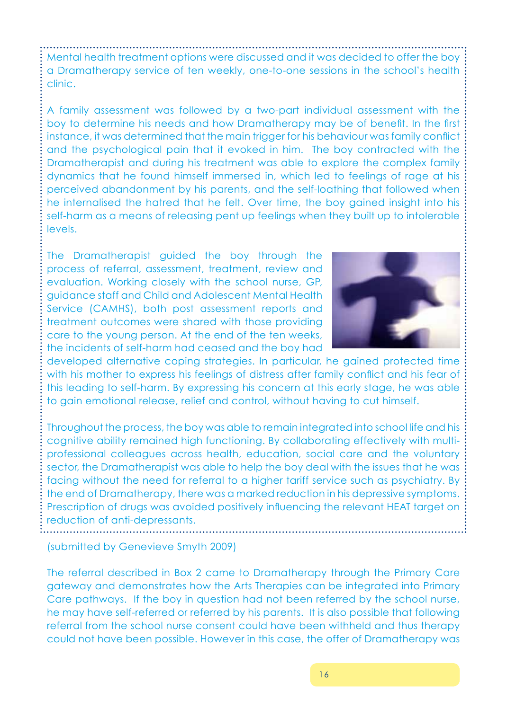Mental health treatment options were discussed and it was decided to offer the boy a Dramatherapy service of ten weekly, one-to-one sessions in the school's health clinic.

A family assessment was followed by a two-part individual assessment with the boy to determine his needs and how Dramatherapy may be of benefit. In the first instance, it was determined that the main trigger for his behaviour was family conflict and the psychological pain that it evoked in him. The boy contracted with the Dramatherapist and during his treatment was able to explore the complex family dynamics that he found himself immersed in, which led to feelings of rage at his perceived abandonment by his parents, and the self-loathing that followed when he internalised the hatred that he felt. Over time, the boy gained insight into his self-harm as a means of releasing pent up feelings when they built up to intolerable levels.

The Dramatherapist guided the boy through the process of referral, assessment, treatment, review and evaluation. Working closely with the school nurse, GP, guidance staff and Child and Adolescent Mental Health Service (CAMHS), both post assessment reports and treatment outcomes were shared with those providing care to the young person. At the end of the ten weeks, the incidents of self-harm had ceased and the boy had



developed alternative coping strategies. In particular, he gained protected time with his mother to express his feelings of distress after family conflict and his fear of this leading to self-harm. By expressing his concern at this early stage, he was able to gain emotional release, relief and control, without having to cut himself.

Throughout the process, the boy was able to remain integrated into school life and his cognitive ability remained high functioning. By collaborating effectively with multiprofessional colleagues across health, education, social care and the voluntary sector, the Dramatherapist was able to help the boy deal with the issues that he was facing without the need for referral to a higher tariff service such as psychiatry. By the end of Dramatherapy, there was a marked reduction in his depressive symptoms. Prescription of drugs was avoided positively influencing the relevant HEAT target on reduction of anti-depressants.

(submitted by Genevieve Smyth 2009)

The referral described in Box 2 came to Dramatherapy through the Primary Care gateway and demonstrates how the Arts Therapies can be integrated into Primary Care pathways. If the boy in question had not been referred by the school nurse, he may have self-referred or referred by his parents. It is also possible that following referral from the school nurse consent could have been withheld and thus therapy could not have been possible. However in this case, the offer of Dramatherapy was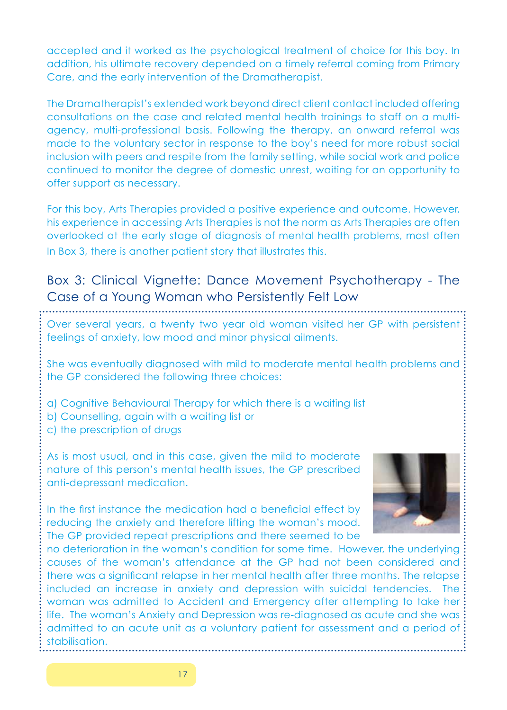accepted and it worked as the psychological treatment of choice for this boy. In addition, his ultimate recovery depended on a timely referral coming from Primary Care, and the early intervention of the Dramatherapist.

The Dramatherapist's extended work beyond direct client contact included offering consultations on the case and related mental health trainings to staff on a multiagency, multi-professional basis. Following the therapy, an onward referral was made to the voluntary sector in response to the boy's need for more robust social inclusion with peers and respite from the family setting, while social work and police continued to monitor the degree of domestic unrest, waiting for an opportunity to offer support as necessary.

For this boy, Arts Therapies provided a positive experience and outcome. However, his experience in accessing Arts Therapies is not the norm as Arts Therapies are often overlooked at the early stage of diagnosis of mental health problems, most often In Box 3, there is another patient story that illustrates this.

## Box 3: Clinical Vignette: Dance Movement Psychotherapy - The Case of a Young Woman who Persistently Felt Low

Over several years, a twenty two year old woman visited her GP with persistent feelings of anxiety, low mood and minor physical ailments.

She was eventually diagnosed with mild to moderate mental health problems and the GP considered the following three choices:

- a) Cognitive Behavioural Therapy for which there is a waiting list
- b) Counselling, again with a waiting list or
- c) the prescription of drugs

As is most usual, and in this case, given the mild to moderate nature of this person's mental health issues, the GP prescribed anti-depressant medication.

In the first instance the medication had a beneficial effect by reducing the anxiety and therefore lifting the woman's mood. The GP provided repeat prescriptions and there seemed to be



no deterioration in the woman's condition for some time. However, the underlying causes of the woman's attendance at the GP had not been considered and there was a significant relapse in her mental health after three months. The relapse included an increase in anxiety and depression with suicidal tendencies. The woman was admitted to Accident and Emergency after attempting to take her life. The woman's Anxiety and Depression was re-diagnosed as acute and she was admitted to an acute unit as a voluntary patient for assessment and a period of stabilisation.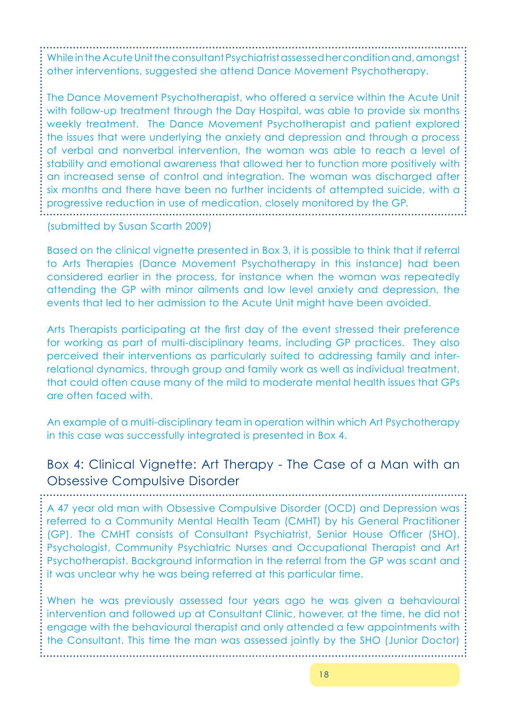While in the Acute Unit the consultant Psychiatrist assessed her condition and, amongst other interventions, suggested she attend Dance Movement Psychotherapy.

The Dance Movement Psychotherapist, who offered a service within the Acute Unit with follow-up treatment through the Day Hospital, was able to provide six months weekly treatment. The Dance Movement Psychotherapist and patient explored the issues that were underlying the anxiety and depression and through a process of verbal and nonverbal intervention, the woman was able to reach a level of stability and emotional awareness that allowed her to function more positively with an increased sense of control and integration. The woman was discharged after six months and there have been no further incidents of attempted suicide, with a progressive reduction in use of medication, closely monitored by the GP.

(submitted by Susan Scarth 2009)

Based on the clinical vignette presented in Box 3, it is possible to think that if referral to Arts Therapies (Dance Movement Psychotherapy in this instance) had been considered earlier in the process, for instance when the woman was repeatedly attending the GP with minor ailments and low level anxiety and depression, the events that led to her admission to the Acute Unit might have been avoided.

Arts Therapists participating at the first day of the event stressed their preference for working as part of multi-disciplinary teams, including GP practices. They also perceived their interventions as particularly suited to addressing family and interrelational dynamics, through group and family work as well as individual treatment, that could often cause many of the mild to moderate mental health issues that GPs are often faced with.

An example of a multi-disciplinary team in operation within which Art Psychotherapy in this case was successfully integrated is presented in Box 4.

## Box 4: Clinical Vignette: Art Therapy - The Case of a Man with an Obsessive Compulsive Disorder

A 47 year old man with Obsessive Compulsive Disorder (OCD) and Depression was referred to a Community Mental Health Team (CMHT) by his General Practitioner (GP). The CMHT consists of Consultant Psychiatrist, Senior House Officer (SHO), Psychologist, Community Psychiatric Nurses and Occupational Therapist and Art Psychotherapist. Background information in the referral from the GP was scant and it was unclear why he was being referred at this particular time.

When he was previously assessed four years ago he was given a behavioural intervention and followed up at Consultant Clinic, however, at the time, he did not engage with the behavioural therapist and only attended a few appointments with the Consultant. This time the man was assessed jointly by the SHO (Junior Doctor)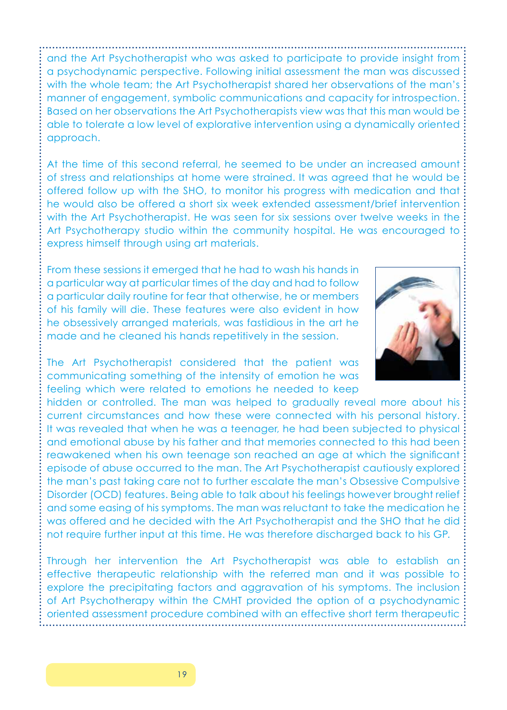and the Art Psychotherapist who was asked to participate to provide insight from a psychodynamic perspective. Following initial assessment the man was discussed with the whole team; the Art Psychotherapist shared her observations of the man's manner of engagement, symbolic communications and capacity for introspection. Based on her observations the Art Psychotherapists view was that this man would be able to tolerate a low level of explorative intervention using a dynamically oriented approach.

At the time of this second referral, he seemed to be under an increased amount of stress and relationships at home were strained. It was agreed that he would be offered follow up with the SHO, to monitor his progress with medication and that he would also be offered a short six week extended assessment/brief intervention with the Art Psychotherapist. He was seen for six sessions over twelve weeks in the Art Psychotherapy studio within the community hospital. He was encouraged to express himself through using art materials.

From these sessions it emerged that he had to wash his hands in a particular way at particular times of the day and had to follow a particular daily routine for fear that otherwise, he or members of his family will die. These features were also evident in how he obsessively arranged materials, was fastidious in the art he made and he cleaned his hands repetitively in the session.



The Art Psychotherapist considered that the patient was communicating something of the intensity of emotion he was feeling which were related to emotions he needed to keep

hidden or controlled. The man was helped to gradually reveal more about his current circumstances and how these were connected with his personal history. It was revealed that when he was a teenager, he had been subjected to physical and emotional abuse by his father and that memories connected to this had been reawakened when his own teenage son reached an age at which the significant episode of abuse occurred to the man. The Art Psychotherapist cautiously explored the man's past taking care not to further escalate the man's Obsessive Compulsive Disorder (OCD) features. Being able to talk about his feelings however brought relief and some easing of his symptoms. The man was reluctant to take the medication he was offered and he decided with the Art Psychotherapist and the SHO that he did not require further input at this time. He was therefore discharged back to his GP.

Through her intervention the Art Psychotherapist was able to establish an effective therapeutic relationship with the referred man and it was possible to explore the precipitating factors and aggravation of his symptoms. The inclusion of Art Psychotherapy within the CMHT provided the option of a psychodynamic oriented assessment procedure combined with an effective short term therapeutic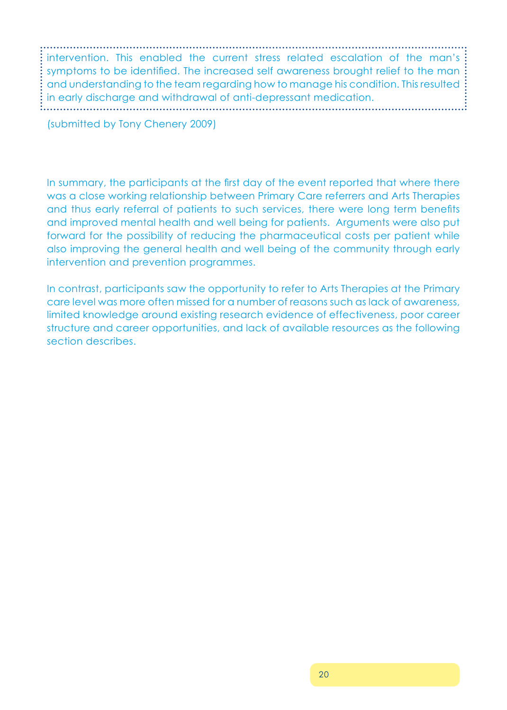. . . . . . . . . . . . . . . . . . . intervention. This enabled the current stress related escalation of the man's symptoms to be identified. The increased self awareness brought relief to the man and understanding to the team regarding how to manage his condition. This resulted in early discharge and withdrawal of anti-depressant medication.

(submitted by Tony Chenery 2009)

In summary, the participants at the first day of the event reported that where there was a close working relationship between Primary Care referrers and Arts Therapies and thus early referral of patients to such services, there were long term benefits and improved mental health and well being for patients. Arguments were also put forward for the possibility of reducing the pharmaceutical costs per patient while also improving the general health and well being of the community through early intervention and prevention programmes.

In contrast, participants saw the opportunity to refer to Arts Therapies at the Primary care level was more often missed for a number of reasons such as lack of awareness, limited knowledge around existing research evidence of effectiveness, poor career structure and career opportunities, and lack of available resources as the following section describes.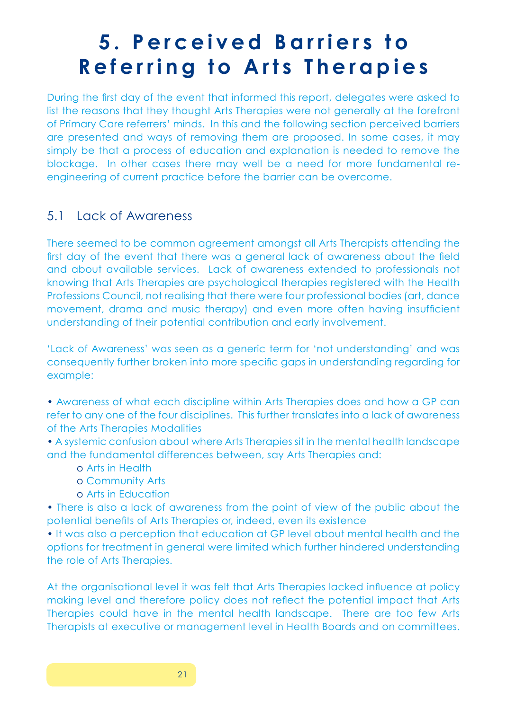# **5 . P e r c e i v e d B a r r i e r s t o Referring to Arts Therapies**

During the first day of the event that informed this report, delegates were asked to list the reasons that they thought Arts Therapies were not generally at the forefront of Primary Care referrers' minds. In this and the following section perceived barriers are presented and ways of removing them are proposed. In some cases, it may simply be that a process of education and explanation is needed to remove the blockage. In other cases there may well be a need for more fundamental reengineering of current practice before the barrier can be overcome.

## 5.1 Lack of Awareness

There seemed to be common agreement amongst all Arts Therapists attending the first day of the event that there was a general lack of awareness about the field and about available services. Lack of awareness extended to professionals not knowing that Arts Therapies are psychological therapies registered with the Health Professions Council, not realising that there were four professional bodies (art, dance movement, drama and music therapy) and even more often having insufficient understanding of their potential contribution and early involvement.

'Lack of Awareness' was seen as a generic term for 'not understanding' and was consequently further broken into more specific gaps in understanding regarding for example:

• Awareness of what each discipline within Arts Therapies does and how a GP can refer to any one of the four disciplines. This further translates into a lack of awareness of the Arts Therapies Modalities

• A systemic confusion about where Arts Therapies sit in the mental health landscape and the fundamental differences between, say Arts Therapies and:

- o Arts in Health
- o Community Arts
- o Arts in Education

• There is also a lack of awareness from the point of view of the public about the potential benefits of Arts Therapies or, indeed, even its existence

• It was also a perception that education at GP level about mental health and the options for treatment in general were limited which further hindered understanding the role of Arts Therapies.

At the organisational level it was felt that Arts Therapies lacked influence at policy making level and therefore policy does not reflect the potential impact that Arts Therapies could have in the mental health landscape. There are too few Arts Therapists at executive or management level in Health Boards and on committees.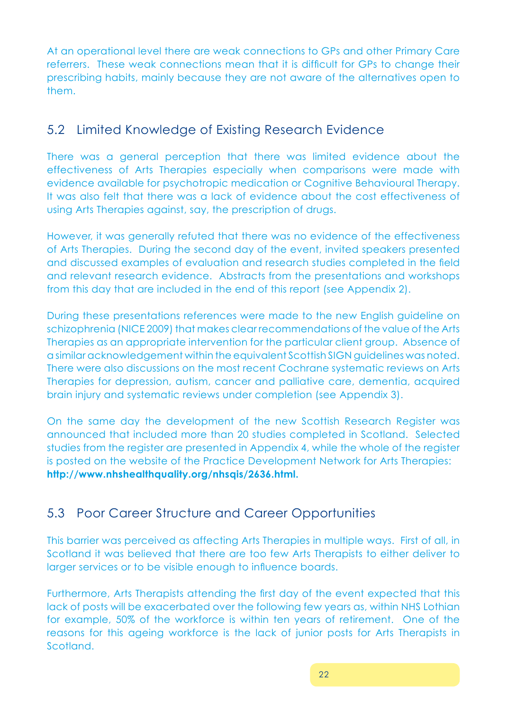At an operational level there are weak connections to GPs and other Primary Care referrers. These weak connections mean that it is difficult for GPs to change their prescribing habits, mainly because they are not aware of the alternatives open to them.

## 5.2 Limited Knowledge of Existing Research Evidence

There was a general perception that there was limited evidence about the effectiveness of Arts Therapies especially when comparisons were made with evidence available for psychotropic medication or Cognitive Behavioural Therapy. It was also felt that there was a lack of evidence about the cost effectiveness of using Arts Therapies against, say, the prescription of drugs.

However, it was generally refuted that there was no evidence of the effectiveness of Arts Therapies. During the second day of the event, invited speakers presented and discussed examples of evaluation and research studies completed in the field and relevant research evidence. Abstracts from the presentations and workshops from this day that are included in the end of this report (see Appendix 2).

During these presentations references were made to the new English guideline on schizophrenia (NICE 2009) that makes clear recommendations of the value of the Arts Therapies as an appropriate intervention for the particular client group. Absence of a similar acknowledgement within the equivalent Scottish SIGN guidelines was noted. There were also discussions on the most recent Cochrane systematic reviews on Arts Therapies for depression, autism, cancer and palliative care, dementia, acquired brain injury and systematic reviews under completion (see Appendix 3).

On the same day the development of the new Scottish Research Register was announced that included more than 20 studies completed in Scotland. Selected studies from the register are presented in Appendix 4, while the whole of the register is posted on the website of the Practice Development Network for Arts Therapies: **http://www.nhshealthquality.org/nhsqis/2636.html.** 

## 5.3 Poor Career Structure and Career Opportunities

This barrier was perceived as affecting Arts Therapies in multiple ways. First of all, in Scotland it was believed that there are too few Arts Therapists to either deliver to larger services or to be visible enough to influence boards.

Furthermore, Arts Therapists attending the first day of the event expected that this lack of posts will be exacerbated over the following few years as, within NHS Lothian for example, 50% of the workforce is within ten years of retirement. One of the reasons for this ageing workforce is the lack of junior posts for Arts Therapists in Scotland.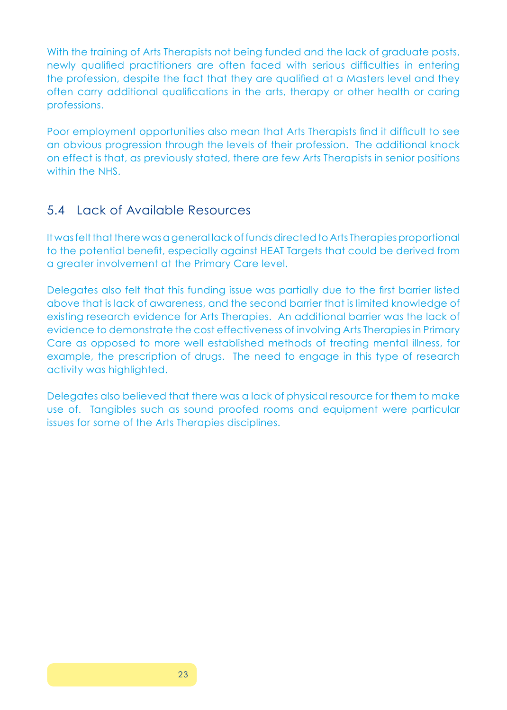With the training of Arts Therapists not being funded and the lack of graduate posts, newly qualified practitioners are often faced with serious difficulties in entering the profession, despite the fact that they are qualified at a Masters level and they often carry additional qualifications in the arts, therapy or other health or caring professions.

Poor employment opportunities also mean that Arts Therapists find it difficult to see an obvious progression through the levels of their profession. The additional knock on effect is that, as previously stated, there are few Arts Therapists in senior positions within the NHS.

### 5.4 Lack of Available Resources

It was felt that there was a general lack of funds directed to Arts Therapies proportional to the potential benefit, especially against HEAT Targets that could be derived from a greater involvement at the Primary Care level.

Delegates also felt that this funding issue was partially due to the first barrier listed above that is lack of awareness, and the second barrier that is limited knowledge of existing research evidence for Arts Therapies. An additional barrier was the lack of evidence to demonstrate the cost effectiveness of involving Arts Therapies in Primary Care as opposed to more well established methods of treating mental illness, for example, the prescription of drugs. The need to engage in this type of research activity was highlighted.

Delegates also believed that there was a lack of physical resource for them to make use of. Tangibles such as sound proofed rooms and equipment were particular issues for some of the Arts Therapies disciplines.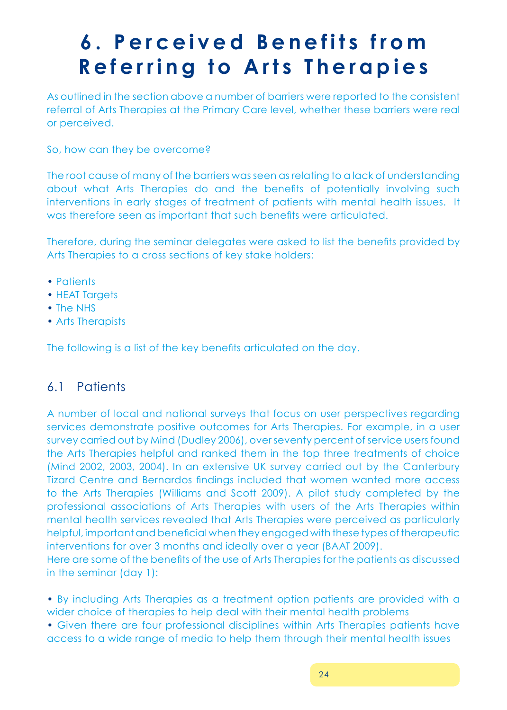# **6 . P e r c e i v e d B e n e f i t s f r o m Referring to Arts Therapies**

As outlined in the section above a number of barriers were reported to the consistent referral of Arts Therapies at the Primary Care level, whether these barriers were real or perceived.

So, how can they be overcome?

The root cause of many of the barriers was seen as relating to a lack of understanding about what Arts Therapies do and the benefits of potentially involving such interventions in early stages of treatment of patients with mental health issues. It was therefore seen as important that such benefits were articulated.

Therefore, during the seminar delegates were asked to list the benefits provided by Arts Therapies to a cross sections of key stake holders:

- Patients
- HEAT Targets
- The NHS
- Arts Therapists

The following is a list of the key benefits articulated on the day.

## 6.1 Patients

A number of local and national surveys that focus on user perspectives regarding services demonstrate positive outcomes for Arts Therapies. For example, in a user survey carried out by Mind (Dudley 2006), over seventy percent of service users found the Arts Therapies helpful and ranked them in the top three treatments of choice (Mind 2002, 2003, 2004). In an extensive UK survey carried out by the Canterbury Tizard Centre and Bernardos findings included that women wanted more access to the Arts Therapies (Williams and Scott 2009). A pilot study completed by the professional associations of Arts Therapies with users of the Arts Therapies within mental health services revealed that Arts Therapies were perceived as particularly helpful, important and beneficial when they engaged with these types of therapeutic interventions for over 3 months and ideally over a year (BAAT 2009). Here are some of the benefits of the use of Arts Therapies for the patients as discussed

in the seminar (day 1):

• By including Arts Therapies as a treatment option patients are provided with a wider choice of therapies to help deal with their mental health problems

• Given there are four professional disciplines within Arts Therapies patients have access to a wide range of media to help them through their mental health issues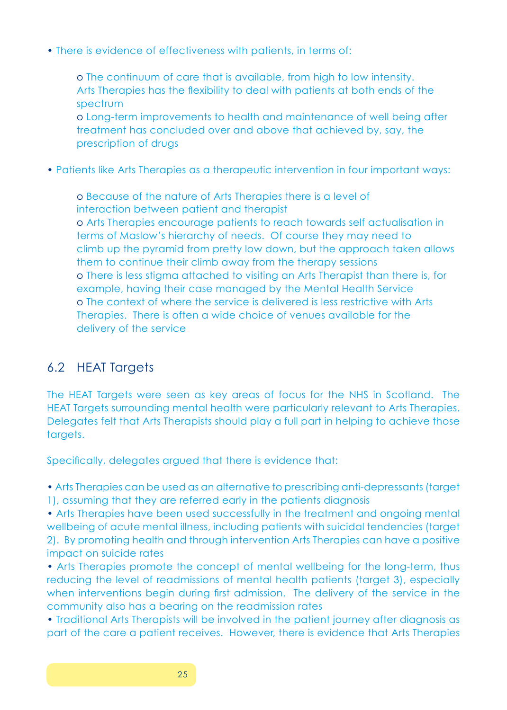• There is evidence of effectiveness with patients, in terms of:

o The continuum of care that is available, from high to low intensity. Arts Therapies has the flexibility to deal with patients at both ends of the spectrum

o Long-term improvements to health and maintenance of well being after treatment has concluded over and above that achieved by, say, the prescription of drugs

• Patients like Arts Therapies as a therapeutic intervention in four important ways:

o Because of the nature of Arts Therapies there is a level of interaction between patient and therapist o Arts Therapies encourage patients to reach towards self actualisation in terms of Maslow's hierarchy of needs. Of course they may need to climb up the pyramid from pretty low down, but the approach taken allows them to continue their climb away from the therapy sessions o There is less stigma attached to visiting an Arts Therapist than there is, for example, having their case managed by the Mental Health Service o The context of where the service is delivered is less restrictive with Arts Therapies. There is often a wide choice of venues available for the delivery of the service

## 6.2 HEAT Targets

The HEAT Targets were seen as key areas of focus for the NHS in Scotland. The HEAT Targets surrounding mental health were particularly relevant to Arts Therapies. Delegates felt that Arts Therapists should play a full part in helping to achieve those targets.

Specifically, delegates argued that there is evidence that:

• Arts Therapies can be used as an alternative to prescribing anti-depressants (target 1), assuming that they are referred early in the patients diagnosis

• Arts Therapies have been used successfully in the treatment and ongoing mental wellbeing of acute mental illness, including patients with suicidal tendencies (target 2). By promoting health and through intervention Arts Therapies can have a positive impact on suicide rates

• Arts Therapies promote the concept of mental wellbeing for the long-term, thus reducing the level of readmissions of mental health patients (target 3), especially when interventions begin during first admission. The delivery of the service in the community also has a bearing on the readmission rates

• Traditional Arts Therapists will be involved in the patient journey after diagnosis as part of the care a patient receives. However, there is evidence that Arts Therapies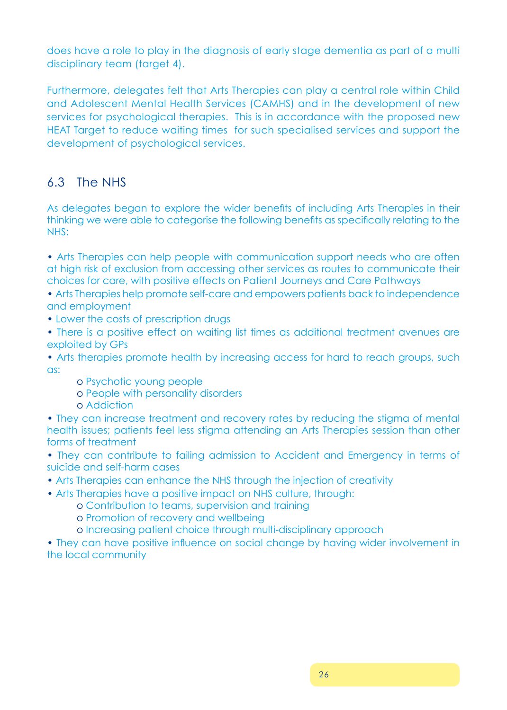does have a role to play in the diagnosis of early stage dementia as part of a multi disciplinary team (target 4).

Furthermore, delegates felt that Arts Therapies can play a central role within Child and Adolescent Mental Health Services (CAMHS) and in the development of new services for psychological therapies. This is in accordance with the proposed new HEAT Target to reduce waiting times for such specialised services and support the development of psychological services.

## 6.3 The NHS

As delegates began to explore the wider benefits of including Arts Therapies in their thinking we were able to categorise the following benefits as specifically relating to the NHS:

• Arts Therapies can help people with communication support needs who are often at high risk of exclusion from accessing other services as routes to communicate their choices for care, with positive effects on Patient Journeys and Care Pathways

• Arts Therapies help promote self-care and empowers patients back to independence and employment

- Lower the costs of prescription drugs
- There is a positive effect on waiting list times as additional treatment avenues are exploited by GPs

• Arts therapies promote health by increasing access for hard to reach groups, such as:

- o Psychotic young people
- o People with personality disorders
- o Addiction

• They can increase treatment and recovery rates by reducing the stigma of mental health issues; patients feel less stigma attending an Arts Therapies session than other forms of treatment

• They can contribute to failing admission to Accident and Emergency in terms of suicide and self-harm cases

- Arts Therapies can enhance the NHS through the injection of creativity
- Arts Therapies have a positive impact on NHS culture, through:
	- o Contribution to teams, supervision and training
	- o Promotion of recovery and wellbeing
	- o Increasing patient choice through multi-disciplinary approach

• They can have positive influence on social change by having wider involvement in the local community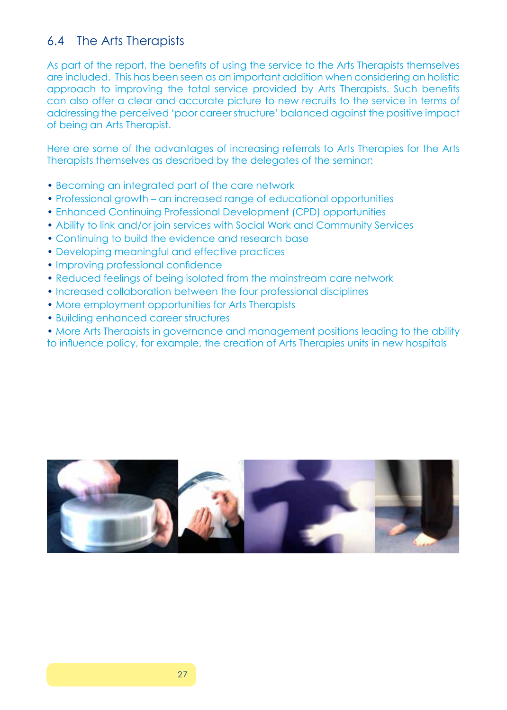## 6.4 The Arts Therapists

As part of the report, the benefits of using the service to the Arts Therapists themselves are included. This has been seen as an important addition when considering an holistic approach to improving the total service provided by Arts Therapists. Such benefits can also offer a clear and accurate picture to new recruits to the service in terms of addressing the perceived 'poor career structure' balanced against the positive impact of being an Arts Therapist.

Here are some of the advantages of increasing referrals to Arts Therapies for the Arts Therapists themselves as described by the delegates of the seminar:

- Becoming an integrated part of the care network
- Professional growth an increased range of educational opportunities
- Enhanced Continuing Professional Development (CPD) opportunities
- Ability to link and/or join services with Social Work and Community Services
- Continuing to build the evidence and research base
- Developing meaningful and effective practices
- Improving professional confidence
- Reduced feelings of being isolated from the mainstream care network
- Increased collaboration between the four professional disciplines
- More employment opportunities for Arts Therapists
- Building enhanced career structures

• More Arts Therapists in governance and management positions leading to the ability

to influence policy, for example, the creation of Arts Therapies units in new hospitals

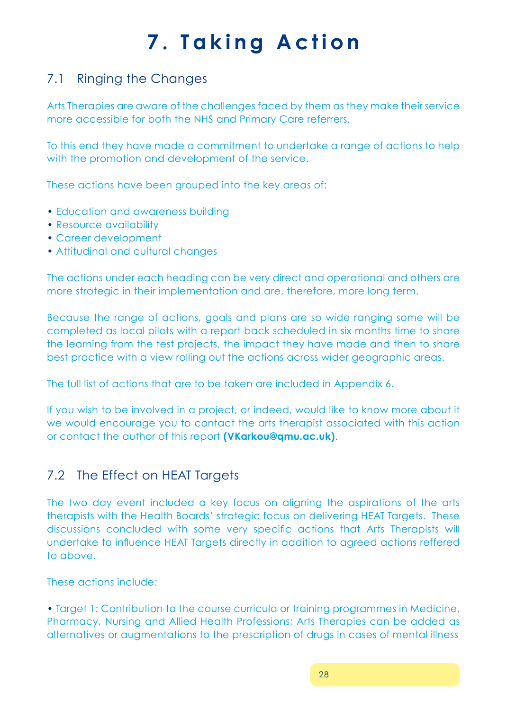# **7. Taking Action**

## 7.1 Ringing the Changes

Arts Therapies are aware of the challenges faced by them as they make their service more accessible for both the NHS and Primary Care referrers.

To this end they have made a commitment to undertake a range of actions to help with the promotion and development of the service.

These actions have been grouped into the key areas of:

- Education and awareness building
- Resource availability
- Career development
- Attitudinal and cultural changes

The actions under each heading can be very direct and operational and others are more strategic in their implementation and are, therefore, more long term.

Because the range of actions, goals and plans are so wide ranging some will be completed as local pilots with a report back scheduled in six months time to share the learning from the test projects, the impact they have made and then to share best practice with a view rolling out the actions across wider geographic areas.

The full list of actions that are to be taken are included in Appendix 6.

If you wish to be involved in a project, or indeed, would like to know more about it we would encourage you to contact the arts therapist associated with this action or contact the author of this report **(VKarkou@qmu.ac.uk)**.

## 7.2 The Effect on HEAT Targets

The two day event included a key focus on aligning the aspirations of the arts therapists with the Health Boards' strategic focus on delivering HEAT Targets. These discussions concluded with some very specific actions that Arts Therapists will undertake to influence HEAT Targets directly in addition to agreed actions reffered to above.

These actions include:

• Target 1: Contribution to the course curricula or training programmes in Medicine, Pharmacy, Nursing and Allied Health Professions; Arts Therapies can be added as alternatives or augmentations to the prescription of drugs in cases of mental illness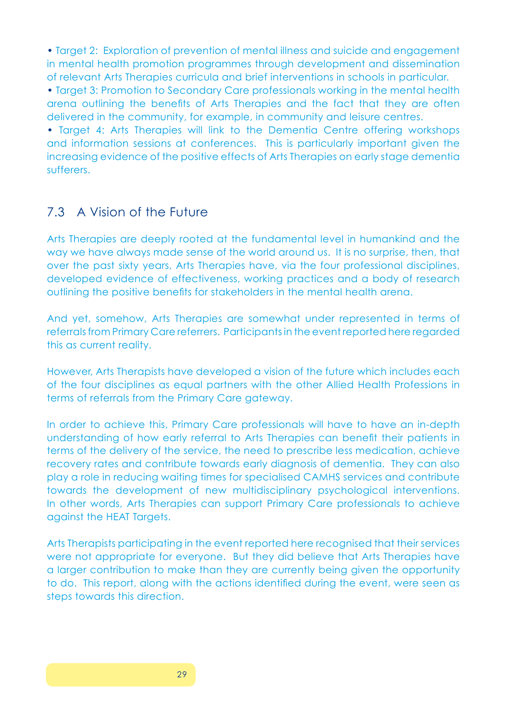• Target 2: Exploration of prevention of mental illness and suicide and engagement in mental health promotion programmes through development and dissemination of relevant Arts Therapies curricula and brief interventions in schools in particular.

• Target 3: Promotion to Secondary Care professionals working in the mental health arena outlining the benefits of Arts Therapies and the fact that they are often delivered in the community, for example, in community and leisure centres.

• Target 4: Arts Therapies will link to the Dementia Centre offering workshops and information sessions at conferences. This is particularly important given the increasing evidence of the positive effects of Arts Therapies on early stage dementia sufferers.

## 7.3 A Vision of the Future

Arts Therapies are deeply rooted at the fundamental level in humankind and the way we have always made sense of the world around us. It is no surprise, then, that over the past sixty years, Arts Therapies have, via the four professional disciplines, developed evidence of effectiveness, working practices and a body of research outlining the positive benefits for stakeholders in the mental health arena.

And yet, somehow, Arts Therapies are somewhat under represented in terms of referrals from Primary Care referrers. Participants in the event reported here regarded this as current reality.

However, Arts Therapists have developed a vision of the future which includes each of the four disciplines as equal partners with the other Allied Health Professions in terms of referrals from the Primary Care gateway.

In order to achieve this, Primary Care professionals will have to have an in-depth understanding of how early referral to Arts Therapies can benefit their patients in terms of the delivery of the service, the need to prescribe less medication, achieve recovery rates and contribute towards early diagnosis of dementia. They can also play a role in reducing waiting times for specialised CAMHS services and contribute towards the development of new multidisciplinary psychological interventions. In other words, Arts Therapies can support Primary Care professionals to achieve against the HEAT Targets.

Arts Therapists participating in the event reported here recognised that their services were not appropriate for everyone. But they did believe that Arts Therapies have a larger contribution to make than they are currently being given the opportunity to do. This report, along with the actions identified during the event, were seen as steps towards this direction.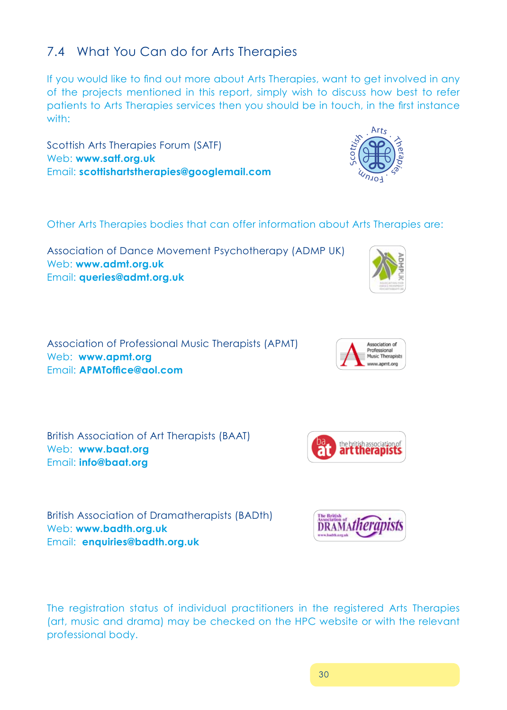## 7.4 What You Can do for Arts Therapies

If you would like to find out more about Arts Therapies, want to get involved in any of the projects mentioned in this report, simply wish to discuss how best to refer patients to Arts Therapies services then you should be in touch, in the first instance with:

Scottish Arts Therapies Forum (SATF) Web: **www.satf.org.uk**  Email: **scottishartstherapies@googlemail.com**

Other Arts Therapies bodies that can offer information about Arts Therapies are:

Association of Dance Movement Psychotherapy (ADMP UK) Web: **www.admt.org.uk**  Email: **queries@admt.org.uk** 

Association of Professional Music Therapists (APMT) Web: **www.apmt.org** Email: **APMToffice@aol.com** 

British Association of Art Therapists (BAAT) Web: **www.baat.org** Email: **info@baat.org**

The registration status of individual practitioners in the registered Arts Therapies (art, music and drama) may be checked on the HPC website or with the relevant professional body.

British Association of Dramatherapists (BADth)

Web: **www.badth.org.uk**

Email: **enquiries@badth.org.uk**





Association of Professional Music Therapists w.apmt.org



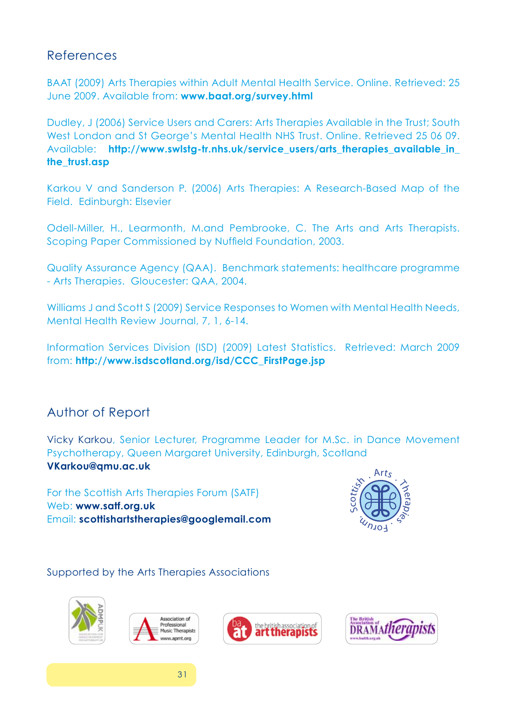## References

BAAT (2009) Arts Therapies within Adult Mental Health Service. Online. Retrieved: 25 June 2009. Available from: **www.baat.org/survey.html**

Dudley, J (2006) Service Users and Carers: Arts Therapies Available in the Trust; South West London and St George's Mental Health NHS Trust. Online. Retrieved 25 06 09. Available: **http://www.swlstg-tr.nhs.uk/service users/arts therapies available in the\_trust.asp**

Karkou V and Sanderson P. (2006) Arts Therapies: A Research-Based Map of the Field. Edinburgh: Elsevier

Odell-Miller, H., Learmonth, M.and Pembrooke, C. The Arts and Arts Therapists. Scoping Paper Commissioned by Nuffield Foundation, 2003.

Quality Assurance Agency (QAA). Benchmark statements: healthcare programme - Arts Therapies. Gloucester: QAA, 2004.

Williams J and Scott S (2009) Service Responses to Women with Mental Health Needs, Mental Health Review Journal, 7, 1, 6-14.

Information Services Division (ISD) (2009) Latest Statistics. Retrieved: March 2009 from: **http://www.isdscotland.org/isd/CCC\_FirstPage.jsp**

## Author of Report

Vicky Karkou, Senior Lecturer, Programme Leader for M.Sc. in Dance Movement Psychotherapy, Queen Margaret University, Edinburgh, Scotland **VKarkou@qmu.ac.uk** 

For the Scottish Arts Therapies Forum (SATF) Web: **www.satf.org.uk** Email: **scottishartstherapies@googlemail.com**



Supported by the Arts Therapies Associations







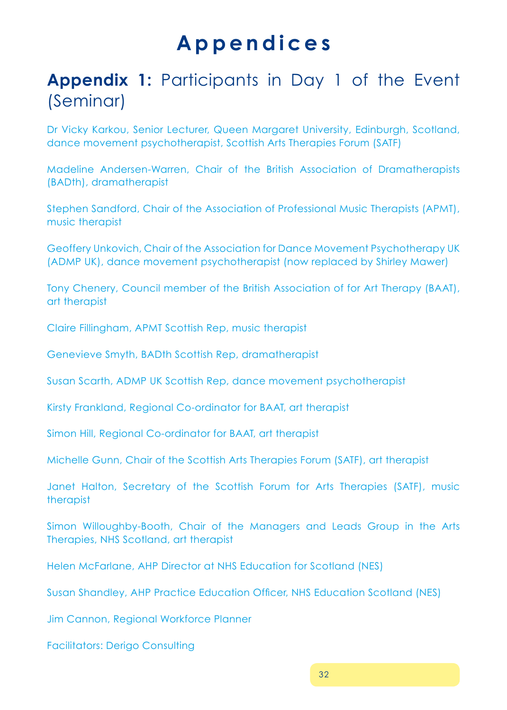## **A p p e n d i c e s**

## **Appendix 1:** Participants in Day 1 of the Event (Seminar)

Dr Vicky Karkou, Senior Lecturer, Queen Margaret University, Edinburgh, Scotland, dance movement psychotherapist, Scottish Arts Therapies Forum (SATF)

Madeline Andersen-Warren, Chair of the British Association of Dramatherapists (BADth), dramatherapist

Stephen Sandford, Chair of the Association of Professional Music Therapists (APMT), music therapist

Geoffery Unkovich, Chair of the Association for Dance Movement Psychotherapy UK (ADMP UK), dance movement psychotherapist (now replaced by Shirley Mawer)

Tony Chenery, Council member of the British Association of for Art Therapy (BAAT), art therapist

Claire Fillingham, APMT Scottish Rep, music therapist

Genevieve Smyth, BADth Scottish Rep, dramatherapist

Susan Scarth, ADMP UK Scottish Rep, dance movement psychotherapist

Kirsty Frankland, Regional Co-ordinator for BAAT, art therapist

Simon Hill, Regional Co-ordinator for BAAT, art therapist

Michelle Gunn, Chair of the Scottish Arts Therapies Forum (SATF), art therapist

Janet Halton, Secretary of the Scottish Forum for Arts Therapies (SATF), music therapist

Simon Willoughby-Booth, Chair of the Managers and Leads Group in the Arts Therapies, NHS Scotland, art therapist

Helen McFarlane, AHP Director at NHS Education for Scotland (NES)

Susan Shandley, AHP Practice Education Officer, NHS Education Scotland (NES)

Jim Cannon, Regional Workforce Planner

Facilitators: Derigo Consulting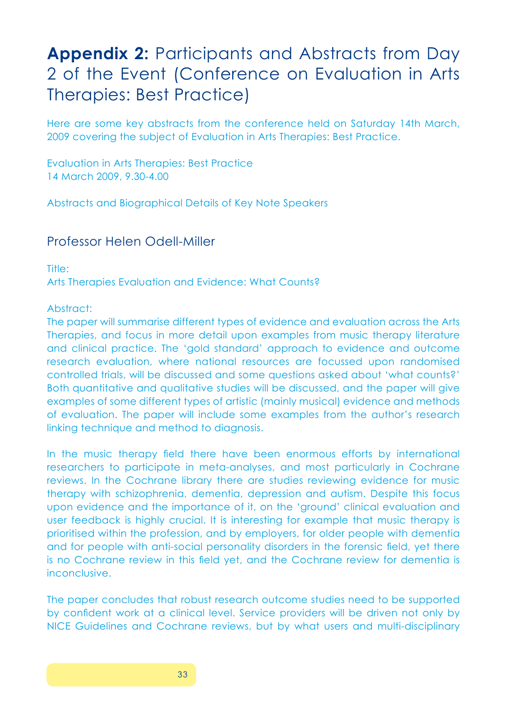## **Appendix 2:** Participants and Abstracts from Day 2 of the Event (Conference on Evaluation in Arts Therapies: Best Practice)

Here are some key abstracts from the conference held on Saturday 14th March, 2009 covering the subject of Evaluation in Arts Therapies: Best Practice.

Evaluation in Arts Therapies: Best Practice 14 March 2009, 9.30-4.00

Abstracts and Biographical Details of Key Note Speakers

### Professor Helen Odell-Miller

Title: Arts Therapies Evaluation and Evidence: What Counts?

#### Abstract:

The paper will summarise different types of evidence and evaluation across the Arts Therapies, and focus in more detail upon examples from music therapy literature and clinical practice. The 'gold standard' approach to evidence and outcome research evaluation, where national resources are focussed upon randomised controlled trials, will be discussed and some questions asked about 'what counts?' Both quantitative and qualitative studies will be discussed, and the paper will give examples of some different types of artistic (mainly musical) evidence and methods of evaluation. The paper will include some examples from the author's research linking technique and method to diagnosis.

In the music therapy field there have been enormous efforts by international researchers to participate in meta-analyses, and most particularly in Cochrane reviews. In the Cochrane library there are studies reviewing evidence for music therapy with schizophrenia, dementia, depression and autism. Despite this focus upon evidence and the importance of it, on the 'ground' clinical evaluation and user feedback is highly crucial. It is interesting for example that music therapy is prioritised within the profession, and by employers, for older people with dementia and for people with anti-social personality disorders in the forensic field, yet there is no Cochrane review in this field yet, and the Cochrane review for dementia is inconclusive.

The paper concludes that robust research outcome studies need to be supported by confident work at a clinical level. Service providers will be driven not only by NICE Guidelines and Cochrane reviews, but by what users and multi-disciplinary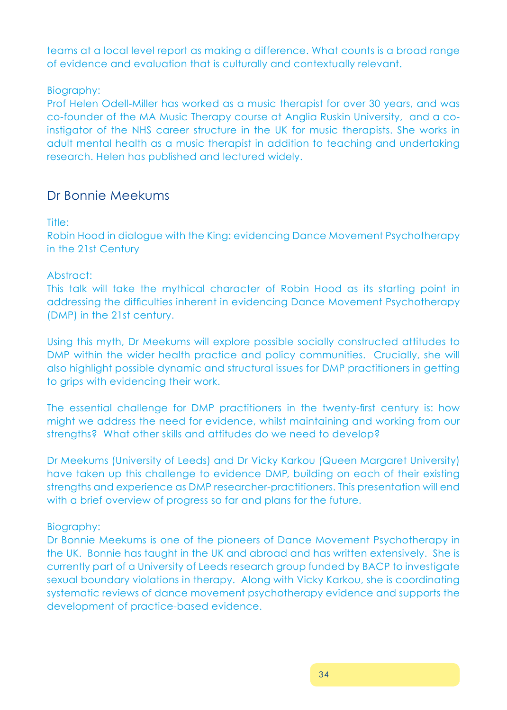teams at a local level report as making a difference. What counts is a broad range of evidence and evaluation that is culturally and contextually relevant.

#### Biography:

Prof Helen Odell-Miller has worked as a music therapist for over 30 years, and was co-founder of the MA Music Therapy course at Anglia Ruskin University, and a coinstigator of the NHS career structure in the UK for music therapists. She works in adult mental health as a music therapist in addition to teaching and undertaking research. Helen has published and lectured widely.

### Dr Bonnie Meekums

#### Title:

Robin Hood in dialogue with the King: evidencing Dance Movement Psychotherapy in the 21st Century

#### Abstract:

This talk will take the mythical character of Robin Hood as its starting point in addressing the difficulties inherent in evidencing Dance Movement Psychotherapy (DMP) in the 21st century.

Using this myth, Dr Meekums will explore possible socially constructed attitudes to DMP within the wider health practice and policy communities. Crucially, she will also highlight possible dynamic and structural issues for DMP practitioners in getting to grips with evidencing their work.

The essential challenge for DMP practitioners in the twenty-first century is: how might we address the need for evidence, whilst maintaining and working from our strengths? What other skills and attitudes do we need to develop?

Dr Meekums (University of Leeds) and Dr Vicky Karkou (Queen Margaret University) have taken up this challenge to evidence DMP, building on each of their existing strengths and experience as DMP researcher-practitioners. This presentation will end with a brief overview of progress so far and plans for the future.

#### Biography:

Dr Bonnie Meekums is one of the pioneers of Dance Movement Psychotherapy in the UK. Bonnie has taught in the UK and abroad and has written extensively. She is currently part of a University of Leeds research group funded by BACP to investigate sexual boundary violations in therapy. Along with Vicky Karkou, she is coordinating systematic reviews of dance movement psychotherapy evidence and supports the development of practice-based evidence.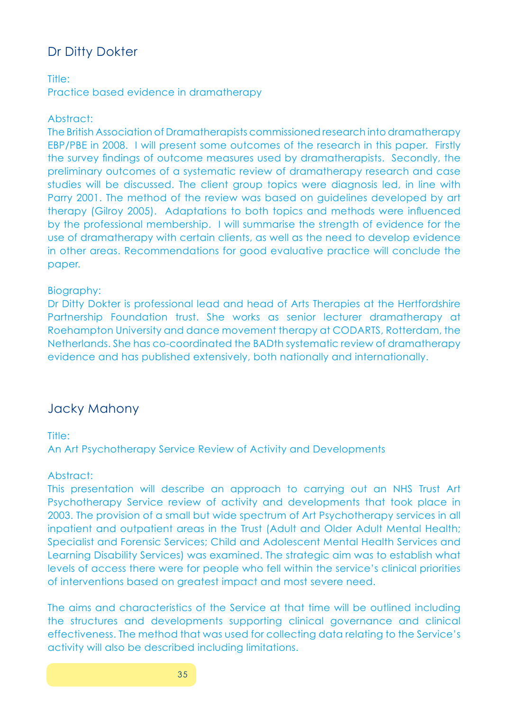## Dr Ditty Dokter

#### Title:

Practice based evidence in dramatherapy

#### Abstract:

The British Association of Dramatherapists commissioned research into dramatherapy EBP/PBE in 2008. I will present some outcomes of the research in this paper. Firstly the survey findings of outcome measures used by dramatherapists. Secondly, the preliminary outcomes of a systematic review of dramatherapy research and case studies will be discussed. The client group topics were diagnosis led, in line with Parry 2001. The method of the review was based on guidelines developed by art therapy (Gilroy 2005). Adaptations to both topics and methods were influenced by the professional membership. I will summarise the strength of evidence for the use of dramatherapy with certain clients, as well as the need to develop evidence in other areas. Recommendations for good evaluative practice will conclude the paper.

#### Biography:

Dr Ditty Dokter is professional lead and head of Arts Therapies at the Hertfordshire Partnership Foundation trust. She works as senior lecturer dramatherapy at Roehampton University and dance movement therapy at CODARTS, Rotterdam, the Netherlands. She has co-coordinated the BADth systematic review of dramatherapy evidence and has published extensively, both nationally and internationally.

### Jacky Mahony

#### Title:

An Art Psychotherapy Service Review of Activity and Developments

#### Abstract:

This presentation will describe an approach to carrying out an NHS Trust Art Psychotherapy Service review of activity and developments that took place in 2003. The provision of a small but wide spectrum of Art Psychotherapy services in all inpatient and outpatient areas in the Trust (Adult and Older Adult Mental Health; Specialist and Forensic Services; Child and Adolescent Mental Health Services and Learning Disability Services) was examined. The strategic aim was to establish what levels of access there were for people who fell within the service's clinical priorities of interventions based on greatest impact and most severe need.

The aims and characteristics of the Service at that time will be outlined including the structures and developments supporting clinical governance and clinical effectiveness. The method that was used for collecting data relating to the Service's activity will also be described including limitations.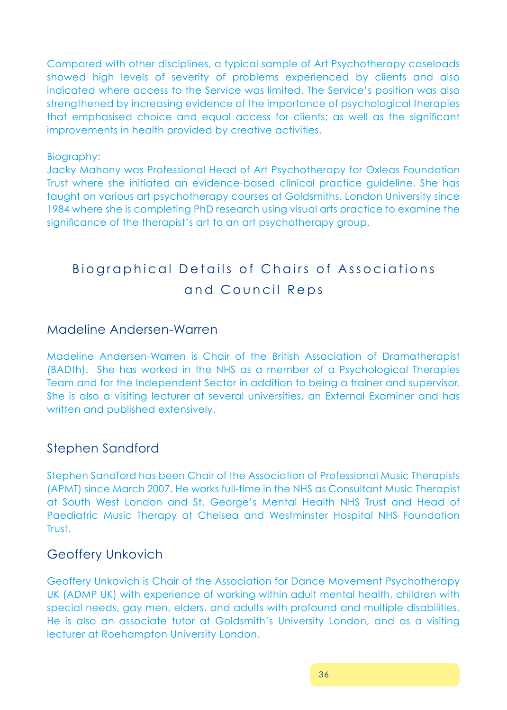Compared with other disciplines, a typical sample of Art Psychotherapy caseloads showed high levels of severity of problems experienced by clients and also indicated where access to the Service was limited. The Service's position was also strengthened by increasing evidence of the importance of psychological therapies that emphasised choice and equal access for clients; as well as the significant improvements in health provided by creative activities.

#### Biography:

Jacky Mahony was Professional Head of Art Psychotherapy for Oxleas Foundation Trust where she initiated an evidence-based clinical practice guideline. She has taught on various art psychotherapy courses at Goldsmiths, London University since 1984 where she is completing PhD research using visual arts practice to examine the significance of the therapist's art to an art psychotherapy group.

## Biographical Details of Chairs of Associations and Council Reps

#### Madeline Andersen-Warren

Madeline Andersen-Warren is Chair of the British Association of Dramatherapist (BADth). She has worked in the NHS as a member of a Psychological Therapies Team and for the Independent Sector in addition to being a trainer and supervisor. She is also a visiting lecturer at several universities, an External Examiner and has written and published extensively.

### Stephen Sandford

Stephen Sandford has been Chair of the Association of Professional Music Therapists (APMT) since March 2007. He works full-time in the NHS as Consultant Music Therapist at South West London and St. George's Mental Health NHS Trust and Head of Paediatric Music Therapy at Chelsea and Westminster Hospital NHS Foundation Trust.

### Geoffery Unkovich

Geoffery Unkovich is Chair of the Association for Dance Movement Psychotherapy UK (ADMP UK) with experience of working within adult mental health, children with special needs, gay men, elders, and adults with profound and multiple disabilities. He is also an associate tutor at Goldsmith's University London, and as a visiting lecturer at Roehampton University London.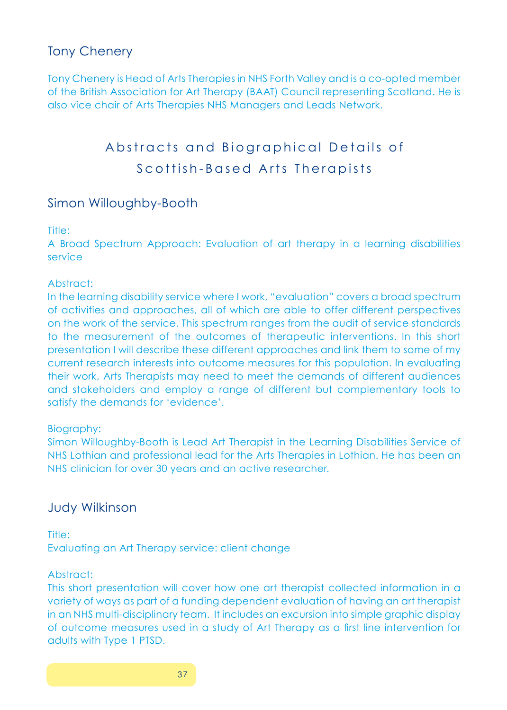## Tony Chenery

Tony Chenery is Head of Arts Therapies in NHS Forth Valley and is a co-opted member of the British Association for Art Therapy (BAAT) Council representing Scotland. He is also vice chair of Arts Therapies NHS Managers and Leads Network.

## Abstracts and Biographical Details of Scottish-Based Arts Therapists

## Simon Willoughby-Booth

#### Title:

A Broad Spectrum Approach: Evaluation of art therapy in a learning disabilities service

#### Abstract:

In the learning disability service where I work, "evaluation" covers a broad spectrum of activities and approaches, all of which are able to offer different perspectives on the work of the service. This spectrum ranges from the audit of service standards to the measurement of the outcomes of therapeutic interventions. In this short presentation I will describe these different approaches and link them to some of my current research interests into outcome measures for this population. In evaluating their work, Arts Therapists may need to meet the demands of different audiences and stakeholders and employ a range of different but complementary tools to satisfy the demands for 'evidence'.

#### Biography:

Simon Willoughby-Booth is Lead Art Therapist in the Learning Disabilities Service of NHS Lothian and professional lead for the Arts Therapies in Lothian. He has been an NHS clinician for over 30 years and an active researcher.

### Judy Wilkinson

Title: Evaluating an Art Therapy service: client change

#### Abstract:

This short presentation will cover how one art therapist collected information in a variety of ways as part of a funding dependent evaluation of having an art therapist in an NHS multi-disciplinary team. It includes an excursion into simple graphic display of outcome measures used in a study of Art Therapy as a first line intervention for adults with Type 1 PTSD.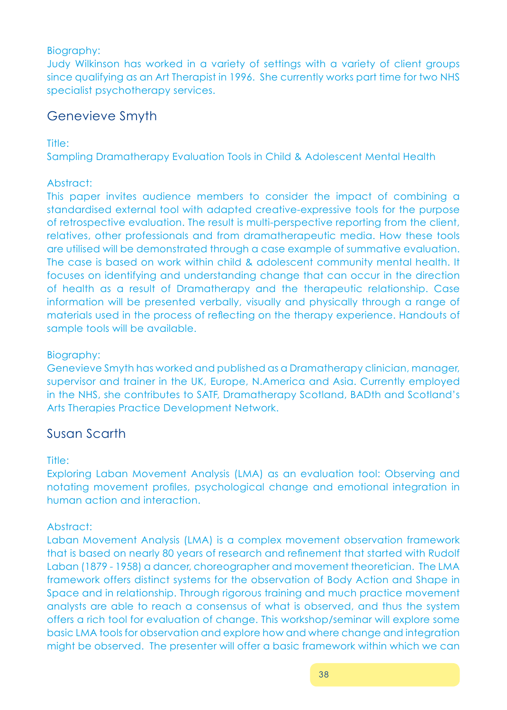#### Biography:

Judy Wilkinson has worked in a variety of settings with a variety of client groups since qualifying as an Art Therapist in 1996. She currently works part time for two NHS specialist psychotherapy services.

## Genevieve Smyth

Title:

Sampling Dramatherapy Evaluation Tools in Child & Adolescent Mental Health

#### Abstract:

This paper invites audience members to consider the impact of combining a standardised external tool with adapted creative-expressive tools for the purpose of retrospective evaluation. The result is multi-perspective reporting from the client, relatives, other professionals and from dramatherapeutic media. How these tools are utilised will be demonstrated through a case example of summative evaluation. The case is based on work within child & adolescent community mental health. It focuses on identifying and understanding change that can occur in the direction of health as a result of Dramatherapy and the therapeutic relationship. Case information will be presented verbally, visually and physically through a range of materials used in the process of reflecting on the therapy experience. Handouts of sample tools will be available.

#### Biography:

Genevieve Smyth has worked and published as a Dramatherapy clinician, manager, supervisor and trainer in the UK, Europe, N.America and Asia. Currently employed in the NHS, she contributes to SATF, Dramatherapy Scotland, BADth and Scotland's Arts Therapies Practice Development Network.

## Susan Scarth

#### Title:

Exploring Laban Movement Analysis (LMA) as an evaluation tool: Observing and notating movement profiles, psychological change and emotional integration in human action and interaction.

#### Abstract:

Laban Movement Analysis (LMA) is a complex movement observation framework that is based on nearly 80 years of research and refinement that started with Rudolf Laban (1879 - 1958) a dancer, choreographer and movement theoretician. The LMA framework offers distinct systems for the observation of Body Action and Shape in Space and in relationship. Through rigorous training and much practice movement analysts are able to reach a consensus of what is observed, and thus the system offers a rich tool for evaluation of change. This workshop/seminar will explore some basic LMA tools for observation and explore how and where change and integration might be observed. The presenter will offer a basic framework within which we can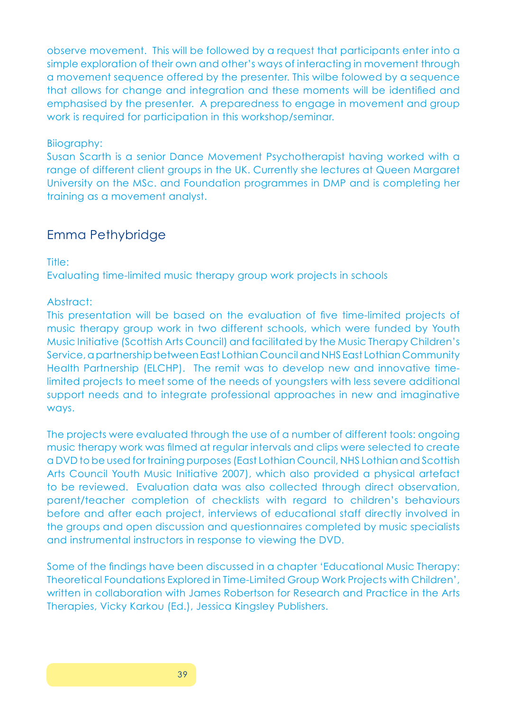observe movement. This will be followed by a request that participants enter into a simple exploration of their own and other's ways of interacting in movement through a movement sequence offered by the presenter. This wilbe folowed by a sequence that allows for change and integration and these moments will be identified and emphasised by the presenter. A preparedness to engage in movement and group work is required for participation in this workshop/seminar.

#### Biiography:

Susan Scarth is a senior Dance Movement Psychotherapist having worked with a range of different client groups in the UK. Currently she lectures at Queen Margaret University on the MSc. and Foundation programmes in DMP and is completing her training as a movement analyst.

### Emma Pethybridge

Title:

Evaluating time-limited music therapy group work projects in schools

#### Abstract:

This presentation will be based on the evaluation of five time-limited projects of music therapy group work in two different schools, which were funded by Youth Music Initiative (Scottish Arts Council) and facilitated by the Music Therapy Children's Service, a partnership between East Lothian Council and NHS East Lothian Community Health Partnership (ELCHP). The remit was to develop new and innovative timelimited projects to meet some of the needs of youngsters with less severe additional support needs and to integrate professional approaches in new and imaginative ways.

The projects were evaluated through the use of a number of different tools: ongoing music therapy work was filmed at regular intervals and clips were selected to create a DVD to be used for training purposes (East Lothian Council, NHS Lothian and Scottish Arts Council Youth Music Initiative 2007), which also provided a physical artefact to be reviewed. Evaluation data was also collected through direct observation, parent/teacher completion of checklists with regard to children's behaviours before and after each project, interviews of educational staff directly involved in the groups and open discussion and questionnaires completed by music specialists and instrumental instructors in response to viewing the DVD.

Some of the findings have been discussed in a chapter 'Educational Music Therapy: Theoretical Foundations Explored in Time-Limited Group Work Projects with Children', written in collaboration with James Robertson for Research and Practice in the Arts Therapies, Vicky Karkou (Ed.), Jessica Kingsley Publishers.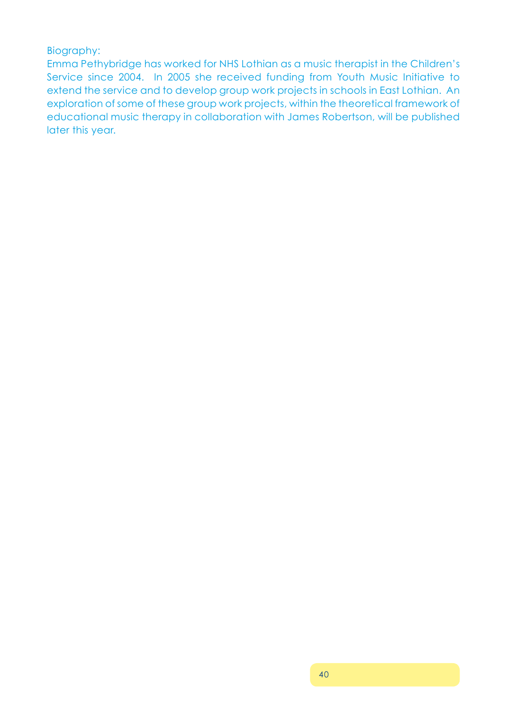#### Biography:

Emma Pethybridge has worked for NHS Lothian as a music therapist in the Children's Service since 2004. In 2005 she received funding from Youth Music Initiative to extend the service and to develop group work projects in schools in East Lothian. An exploration of some of these group work projects, within the theoretical framework of educational music therapy in collaboration with James Robertson, will be published later this year.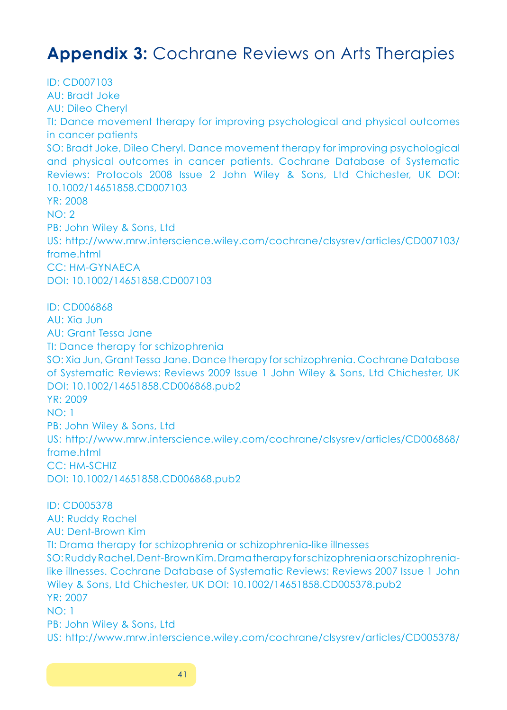## **Appendix 3:** Cochrane Reviews on Arts Therapies

ID: CD007103 AU: Bradt Joke AU: Dileo Cheryl TI: Dance movement therapy for improving psychological and physical outcomes in cancer patients SO: Bradt Joke, Dileo Cheryl. Dance movement therapy for improving psychological and physical outcomes in cancer patients. Cochrane Database of Systematic Reviews: Protocols 2008 Issue 2 John Wiley & Sons, Ltd Chichester, UK DOI: 10.1002/14651858.CD007103 YR: 2008 NO: 2 PB: John Wiley & Sons, Ltd US: http://www.mrw.interscience.wiley.com/cochrane/clsysrev/articles/CD007103/ frame.html CC: HM-GYNAECA DOI: 10.1002/14651858.CD007103 ID: CD006868 AU: Xia Jun AU: Grant Tessa Jane TI: Dance therapy for schizophrenia SO: Xia Jun, Grant Tessa Jane. Dance therapy for schizophrenia. Cochrane Database of Systematic Reviews: Reviews 2009 Issue 1 John Wiley & Sons, Ltd Chichester, UK DOI: 10.1002/14651858.CD006868.pub2 YR: 2009 NO: 1 PB: John Wiley & Sons, Ltd US: http://www.mrw.interscience.wiley.com/cochrane/clsysrev/articles/CD006868/ frame.html CC: HM-SCHIZ DOI: 10.1002/14651858.CD006868.pub2 ID: CD005378 AU: Ruddy Rachel AU: Dent-Brown Kim TI: Drama therapy for schizophrenia or schizophrenia-like illnesses SO: Ruddy Rachel, Dent-Brown Kim. Drama therapy for schizophrenia or schizophrenialike illnesses. Cochrane Database of Systematic Reviews: Reviews 2007 Issue 1 John Wiley & Sons, Ltd Chichester, UK DOI: 10.1002/14651858.CD005378.pub2 YR: 2007 NO: 1 PB: John Wiley & Sons, Ltd US: http://www.mrw.interscience.wiley.com/cochrane/clsysrev/articles/CD005378/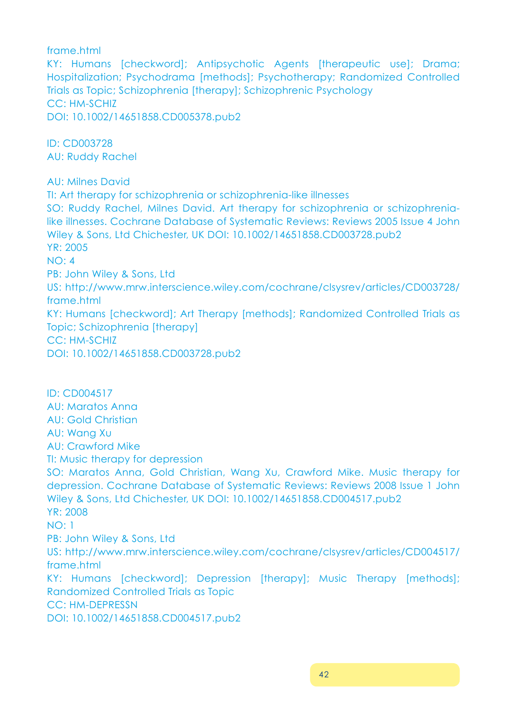frame.html

KY: Humans [checkword]; Antipsychotic Agents [therapeutic use]; Drama; Hospitalization; Psychodrama [methods]; Psychotherapy; Randomized Controlled Trials as Topic; Schizophrenia [therapy]; Schizophrenic Psychology CC: HM-SCHIZ DOI: 10.1002/14651858.CD005378.pub2

ID: CD003728 AU: Ruddy Rachel

AU: Milnes David

TI: Art therapy for schizophrenia or schizophrenia-like illnesses SO: Ruddy Rachel, Milnes David. Art therapy for schizophrenia or schizophrenialike illnesses. Cochrane Database of Systematic Reviews: Reviews 2005 Issue 4 John Wiley & Sons, Ltd Chichester, UK DOI: 10.1002/14651858.CD003728.pub2 YR: 2005 NO: 4 PB: John Wiley & Sons, Ltd US: http://www.mrw.interscience.wiley.com/cochrane/clsysrev/articles/CD003728/ frame.html KY: Humans [checkword]; Art Therapy [methods]; Randomized Controlled Trials as Topic; Schizophrenia [therapy] CC: HM-SCHIZ DOI: 10.1002/14651858.CD003728.pub2

ID: CD004517 AU: Maratos Anna AU: Gold Christian AU: Wang Xu AU: Crawford Mike TI: Music therapy for depression SO: Maratos Anna, Gold Christian, Wang Xu, Crawford Mike. Music therapy for depression. Cochrane Database of Systematic Reviews: Reviews 2008 Issue 1 John Wiley & Sons, Ltd Chichester, UK DOI: 10.1002/14651858.CD004517.pub2 YR: 2008 NO: 1 PB: John Wiley & Sons, Ltd US: http://www.mrw.interscience.wiley.com/cochrane/clsysrev/articles/CD004517/ frame.html KY: Humans [checkword]; Depression [therapy]; Music Therapy [methods]; Randomized Controlled Trials as Topic CC: HM-DEPRESSN DOI: 10.1002/14651858.CD004517.pub2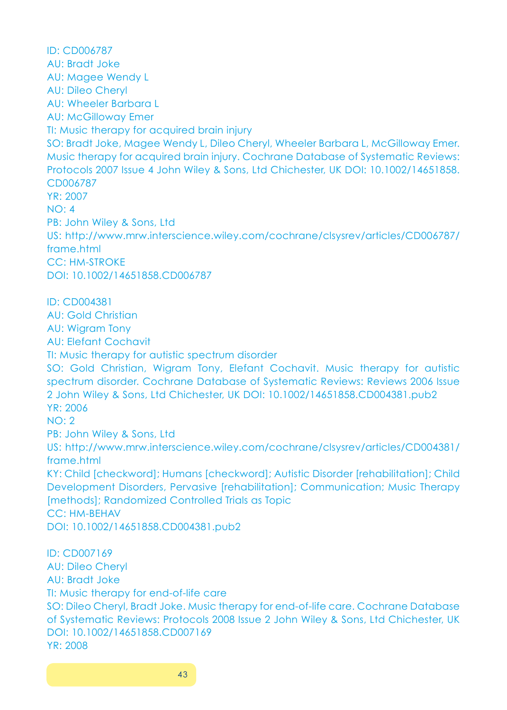ID: CD006787 AU: Bradt Joke AU: Magee Wendy L AU: Dileo Cheryl AU: Wheeler Barbara L AU: McGilloway Emer TI: Music therapy for acquired brain injury SO: Bradt Joke, Magee Wendy L, Dileo Cheryl, Wheeler Barbara L, McGilloway Emer. Music therapy for acquired brain injury. Cochrane Database of Systematic Reviews: Protocols 2007 Issue 4 John Wiley & Sons, Ltd Chichester, UK DOI: 10.1002/14651858. CD006787 YR: 2007 NO: 4 PB: John Wiley & Sons, Ltd US: http://www.mrw.interscience.wiley.com/cochrane/clsysrev/articles/CD006787/ frame.html CC: HM-STROKE DOI: 10.1002/14651858.CD006787 ID: CD004381 AU: Gold Christian AU: Wigram Tony AU: Elefant Cochavit TI: Music therapy for autistic spectrum disorder SO: Gold Christian, Wigram Tony, Elefant Cochavit. Music therapy for autistic spectrum disorder. Cochrane Database of Systematic Reviews: Reviews 2006 Issue 2 John Wiley & Sons, Ltd Chichester, UK DOI: 10.1002/14651858.CD004381.pub2 YR: 2006 NO: 2 PB: John Wiley & Sons, Ltd US: http://www.mrw.interscience.wiley.com/cochrane/clsysrev/articles/CD004381/ frame.html KY: Child [checkword]; Humans [checkword]; Autistic Disorder [rehabilitation]; Child Development Disorders, Pervasive [rehabilitation]; Communication; Music Therapy [methods]; Randomized Controlled Trials as Topic CC: HM-BEHAV DOI: 10.1002/14651858.CD004381.pub2 ID: CD007169 AU: Dileo Cheryl AU: Bradt Joke TI: Music therapy for end-of-life care SO: Dileo Cheryl, Bradt Joke. Music therapy for end-of-life care. Cochrane Database of Systematic Reviews: Protocols 2008 Issue 2 John Wiley & Sons, Ltd Chichester, UK DOI: 10.1002/14651858.CD007169 YR: 2008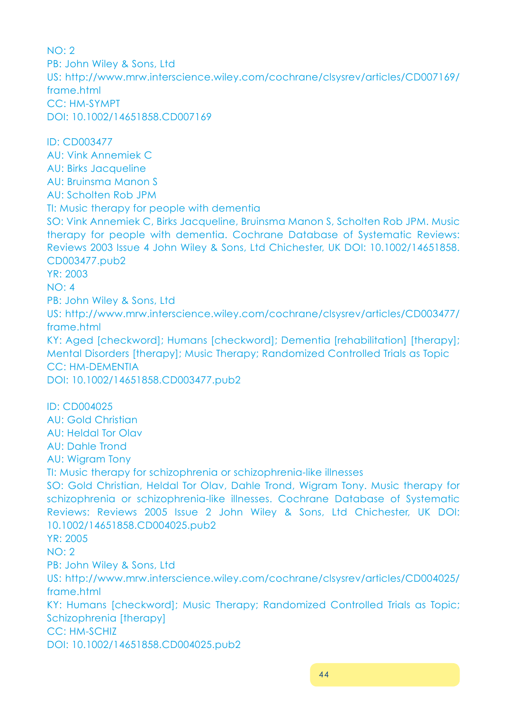NO: 2 PB: John Wiley & Sons, Ltd US: http://www.mrw.interscience.wiley.com/cochrane/clsysrev/articles/CD007169/ frame.html CC: HM-SYMPT DOI: 10.1002/14651858.CD007169 ID: CD003477 AU: Vink Annemiek C AU: Birks Jacqueline AU: Bruinsma Manon S AU: Scholten Rob JPM TI: Music therapy for people with dementia SO: Vink Annemiek C, Birks Jacqueline, Bruinsma Manon S, Scholten Rob JPM. Music therapy for people with dementia. Cochrane Database of Systematic Reviews: Reviews 2003 Issue 4 John Wiley & Sons, Ltd Chichester, UK DOI: 10.1002/14651858. CD003477.pub2 YR: 2003 NO: 4 PB: John Wiley & Sons, Ltd US: http://www.mrw.interscience.wiley.com/cochrane/clsysrev/articles/CD003477/ frame.html KY: Aged [checkword]; Humans [checkword]; Dementia [rehabilitation] [therapy]; Mental Disorders [therapy]; Music Therapy; Randomized Controlled Trials as Topic CC: HM-DEMENTIA DOI: 10.1002/14651858.CD003477.pub2 ID: CD004025 AU: Gold Christian AU: Heldal Tor Olav AU: Dahle Trond AU: Wigram Tony TI: Music therapy for schizophrenia or schizophrenia-like illnesses SO: Gold Christian, Heldal Tor Olav, Dahle Trond, Wigram Tony. Music therapy for schizophrenia or schizophrenia-like illnesses. Cochrane Database of Systematic Reviews: Reviews 2005 Issue 2 John Wiley & Sons, Ltd Chichester, UK DOI: 10.1002/14651858.CD004025.pub2 YR: 2005 NO: 2 PB: John Wiley & Sons, Ltd US: http://www.mrw.interscience.wiley.com/cochrane/clsysrev/articles/CD004025/ frame.html KY: Humans [checkword]; Music Therapy; Randomized Controlled Trials as Topic; Schizophrenia [therapy] CC: HM-SCHIZ DOI: 10.1002/14651858.CD004025.pub2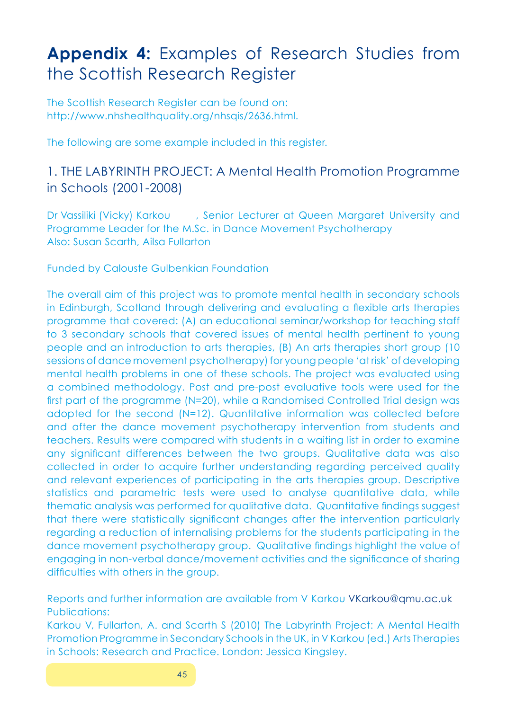## **Appendix 4:** Examples of Research Studies from the Scottish Research Register

The Scottish Research Register can be found on: http://www.nhshealthquality.org/nhsqis/2636.html.

The following are some example included in this register.

## 1. THE LABYRINTH PROJECT: A Mental Health Promotion Programme in Schools (2001-2008)

Dr Vassiliki (Vicky) Karkou , Senior Lecturer at Queen Margaret University and Programme Leader for the M.Sc. in Dance Movement Psychotherapy Also: Susan Scarth, Ailsa Fullarton

Funded by Calouste Gulbenkian Foundation

The overall aim of this project was to promote mental health in secondary schools in Edinburgh, Scotland through delivering and evaluating a flexible arts therapies programme that covered: (A) an educational seminar/workshop for teaching staff to 3 secondary schools that covered issues of mental health pertinent to young people and an introduction to arts therapies, (B) An arts therapies short group (10 sessions of dance movement psychotherapy) for young people 'at risk' of developing mental health problems in one of these schools. The project was evaluated using a combined methodology. Post and pre-post evaluative tools were used for the first part of the programme (N=20), while a Randomised Controlled Trial design was adopted for the second (N=12). Quantitative information was collected before and after the dance movement psychotherapy intervention from students and teachers. Results were compared with students in a waiting list in order to examine any significant differences between the two groups. Qualitative data was also collected in order to acquire further understanding regarding perceived quality and relevant experiences of participating in the arts therapies group. Descriptive statistics and parametric tests were used to analyse quantitative data, while thematic analysis was performed for qualitative data. Quantitative findings suggest that there were statistically significant changes after the intervention particularly regarding a reduction of internalising problems for the students participating in the dance movement psychotherapy group. Qualitative findings highlight the value of engaging in non-verbal dance/movement activities and the significance of sharing difficulties with others in the group.

Reports and further information are available from V Karkou VKarkou@qmu.ac.uk Publications:

Karkou V, Fullarton, A. and Scarth S (2010) The Labyrinth Project: A Mental Health Promotion Programme in Secondary Schools in the UK, in V Karkou (ed.) Arts Therapies in Schools: Research and Practice. London: Jessica Kingsley.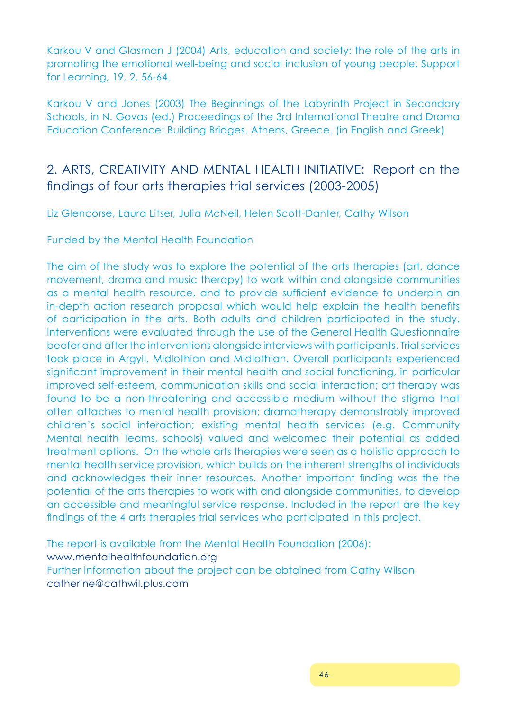Karkou V and Glasman J (2004) Arts, education and society: the role of the arts in promoting the emotional well-being and social inclusion of young people, Support for Learning, 19, 2, 56-64.

Karkou V and Jones (2003) The Beginnings of the Labyrinth Project in Secondary Schools, in N. Govas (ed.) Proceedings of the 3rd International Theatre and Drama Education Conference: Building Bridges. Athens, Greece. (in English and Greek)

## 2. ARTS, CREATIVITY AND MENTAL HEALTH INITIATIVE: Report on the findings of four arts therapies trial services (2003-2005)

Liz Glencorse, Laura Litser, Julia McNeil, Helen Scott-Danter, Cathy Wilson

Funded by the Mental Health Foundation

The aim of the study was to explore the potential of the arts therapies (art, dance movement, drama and music therapy) to work within and alongside communities as a mental health resource, and to provide sufficient evidence to underpin an in-depth action research proposal which would help explain the health benefits of participation in the arts. Both adults and children participated in the study. Interventions were evaluated through the use of the General Health Questionnaire beofer and after the interventions alongside interviews with participants. Trial services took place in Argyll, Midlothian and Midlothian. Overall participants experienced significant improvement in their mental health and social functioning, in particular improved self-esteem, communication skills and social interaction; art therapy was found to be a non-threatening and accessible medium without the stigma that often attaches to mental health provision; dramatherapy demonstrably improved children's social interaction; existing mental health services (e.g. Community Mental health Teams, schools) valued and welcomed their potential as added treatment options. On the whole arts therapies were seen as a holistic approach to mental health service provision, which builds on the inherent strengths of individuals and acknowledges their inner resources. Another important finding was the the potential of the arts therapies to work with and alongside communities, to develop an accessible and meaningful service response. Included in the report are the key findings of the 4 arts therapies trial services who participated in this project.

The report is available from the Mental Health Foundation (2006): www.mentalhealthfoundation.org Further information about the project can be obtained from Cathy Wilson catherine@cathwil.plus.com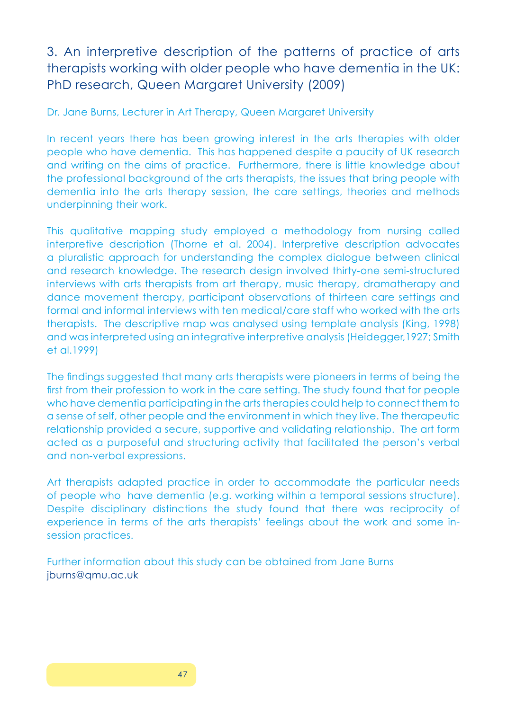## 3. An interpretive description of the patterns of practice of arts therapists working with older people who have dementia in the UK: PhD research, Queen Margaret University (2009)

Dr. Jane Burns, Lecturer in Art Therapy, Queen Margaret University

In recent years there has been growing interest in the arts therapies with older people who have dementia. This has happened despite a paucity of UK research and writing on the aims of practice. Furthermore, there is little knowledge about the professional background of the arts therapists, the issues that bring people with dementia into the arts therapy session, the care settings, theories and methods underpinning their work.

This qualitative mapping study employed a methodology from nursing called interpretive description (Thorne et al. 2004). Interpretive description advocates a pluralistic approach for understanding the complex dialogue between clinical and research knowledge. The research design involved thirty-one semi-structured interviews with arts therapists from art therapy, music therapy, dramatherapy and dance movement therapy, participant observations of thirteen care settings and formal and informal interviews with ten medical/care staff who worked with the arts therapists. The descriptive map was analysed using template analysis (King, 1998) and was interpreted using an integrative interpretive analysis (Heidegger,1927; Smith et al.1999)

The findings suggested that many arts therapists were pioneers in terms of being the first from their profession to work in the care setting. The study found that for people who have dementia participating in the arts therapies could help to connect them to a sense of self, other people and the environment in which they live. The therapeutic relationship provided a secure, supportive and validating relationship. The art form acted as a purposeful and structuring activity that facilitated the person's verbal and non-verbal expressions.

Art therapists adapted practice in order to accommodate the particular needs of people who have dementia (e.g. working within a temporal sessions structure). Despite disciplinary distinctions the study found that there was reciprocity of experience in terms of the arts therapists' feelings about the work and some insession practices.

Further information about this study can be obtained from Jane Burns jburns@qmu.ac.uk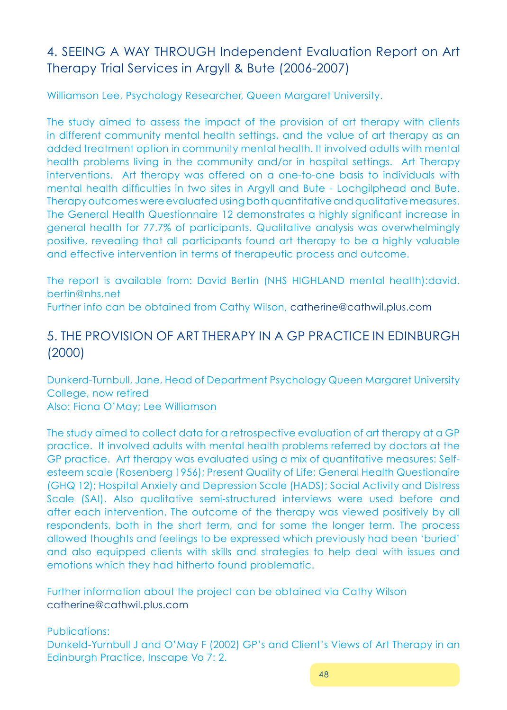## 4. SEEING A WAY THROUGH Independent Evaluation Report on Art Therapy Trial Services in Argyll & Bute (2006-2007)

Williamson Lee, Psychology Researcher, Queen Margaret University.

The study aimed to assess the impact of the provision of art therapy with clients in different community mental health settings, and the value of art therapy as an added treatment option in community mental health. It involved adults with mental health problems living in the community and/or in hospital settings. Art Therapy interventions. Art therapy was offered on a one-to-one basis to individuals with mental health difficulties in two sites in Argyll and Bute - Lochgilphead and Bute. Therapy outcomes were evaluated using both quantitative and qualitative measures. The General Health Questionnaire 12 demonstrates a highly significant increase in general health for 77.7% of participants. Qualitative analysis was overwhelmingly positive, revealing that all participants found art therapy to be a highly valuable and effective intervention in terms of therapeutic process and outcome.

The report is available from: David Bertin (NHS HIGHLAND mental health):david. bertin@nhs.net

Further info can be obtained from Cathy Wilson, catherine@cathwil.plus.com

## 5. THE PROVISION OF ART THERAPY IN A GP PRACTICE IN EDINBURGH (2000)

Dunkerd-Turnbull, Jane, Head of Department Psychology Queen Margaret University College, now retired Also: Fiona O'May; Lee Williamson

The study aimed to collect data for a retrospective evaluation of art therapy at a GP practice. It involved adults with mental health problems referred by doctors at the GP practice. Art therapy was evaluated using a mix of quantitative measures: Selfesteem scale (Rosenberg 1956); Present Quality of Life; General Health Questionaire (GHQ 12); Hospital Anxiety and Depression Scale (HADS); Social Activity and Distress Scale (SAI). Also qualitative semi-structured interviews were used before and after each intervention. The outcome of the therapy was viewed positively by all respondents, both in the short term, and for some the longer term. The process allowed thoughts and feelings to be expressed which previously had been 'buried' and also equipped clients with skills and strategies to help deal with issues and emotions which they had hitherto found problematic.

Further information about the project can be obtained via Cathy Wilson catherine@cathwil.plus.com

Publications:

Dunkeld-Yurnbull J and O'May F (2002) GP's and Client's Views of Art Therapy in an Edinburgh Practice, Inscape Vo 7: 2.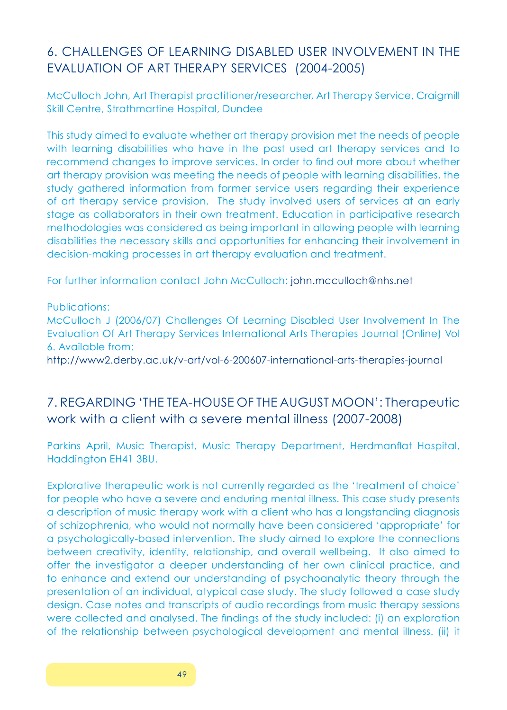## 6. CHALLENGES OF LEARNING DISABLED USER INVOLVEMENT IN THE EVALUATION OF ART THERAPY SERVICES (2004-2005)

McCulloch John, Art Therapist practitioner/researcher, Art Therapy Service, Craigmill Skill Centre, Strathmartine Hospital, Dundee

This study aimed to evaluate whether art therapy provision met the needs of people with learning disabilities who have in the past used art therapy services and to recommend changes to improve services. In order to find out more about whether art therapy provision was meeting the needs of people with learning disabilities, the study gathered information from former service users regarding their experience of art therapy service provision. The study involved users of services at an early stage as collaborators in their own treatment. Education in participative research methodologies was considered as being important in allowing people with learning disabilities the necessary skills and opportunities for enhancing their involvement in decision-making processes in art therapy evaluation and treatment.

For further information contact John McCulloch: john.mcculloch@nhs.net

Publications:

McCulloch J (2006/07) Challenges Of Learning Disabled User Involvement In The Evaluation Of Art Therapy Services International Arts Therapies Journal (Online) Vol 6. Available from:

http://www2.derby.ac.uk/v-art/vol-6-200607-international-arts-therapies-journal

## 7. REGARDING 'THE TEA-HOUSE OF THE AUGUST MOON': Therapeutic work with a client with a severe mental illness (2007-2008)

Parkins April, Music Therapist, Music Therapy Department, Herdmanflat Hospital, Haddington EH41 3BU.

Explorative therapeutic work is not currently regarded as the 'treatment of choice' for people who have a severe and enduring mental illness. This case study presents a description of music therapy work with a client who has a longstanding diagnosis of schizophrenia, who would not normally have been considered 'appropriate' for a psychologically-based intervention. The study aimed to explore the connections between creativity, identity, relationship, and overall wellbeing. It also aimed to offer the investigator a deeper understanding of her own clinical practice, and to enhance and extend our understanding of psychoanalytic theory through the presentation of an individual, atypical case study. The study followed a case study design. Case notes and transcripts of audio recordings from music therapy sessions were collected and analysed. The findings of the study included: (i) an exploration of the relationship between psychological development and mental illness. (ii) it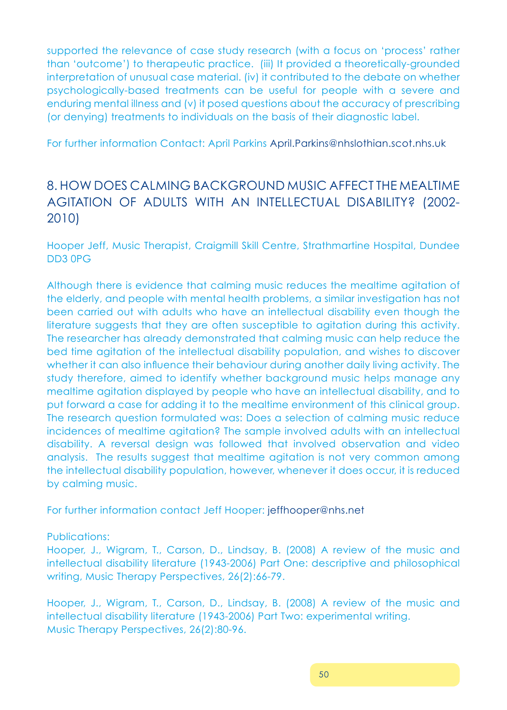supported the relevance of case study research (with a focus on 'process' rather than 'outcome') to therapeutic practice. (iii) It provided a theoretically-grounded interpretation of unusual case material. (iv) it contributed to the debate on whether psychologically-based treatments can be useful for people with a severe and enduring mental illness and (v) it posed questions about the accuracy of prescribing (or denying) treatments to individuals on the basis of their diagnostic label.

For further information Contact: April Parkins April.Parkins@nhslothian.scot.nhs.uk

## 8. HOW DOES CALMING BACKGROUND MUSIC AFFECT THE MEALTIME AGITATION OF ADULTS WITH AN INTELLECTUAL DISABILITY? (2002- 2010)

Hooper Jeff, Music Therapist, Craigmill Skill Centre, Strathmartine Hospital, Dundee DD3 0PG

Although there is evidence that calming music reduces the mealtime agitation of the elderly, and people with mental health problems, a similar investigation has not been carried out with adults who have an intellectual disability even though the literature suggests that they are often susceptible to agitation during this activity. The researcher has already demonstrated that calming music can help reduce the bed time agitation of the intellectual disability population, and wishes to discover whether it can also influence their behaviour during another daily living activity. The study therefore, aimed to identify whether background music helps manage any mealtime agitation displayed by people who have an intellectual disability, and to put forward a case for adding it to the mealtime environment of this clinical group. The research question formulated was: Does a selection of calming music reduce incidences of mealtime agitation? The sample involved adults with an intellectual disability. A reversal design was followed that involved observation and video analysis. The results suggest that mealtime agitation is not very common among the intellectual disability population, however, whenever it does occur, it is reduced by calming music.

For further information contact Jeff Hooper: jeffhooper@nhs.net

Publications:

Hooper, J., Wigram, T., Carson, D., Lindsay, B. (2008) A review of the music and intellectual disability literature (1943-2006) Part One: descriptive and philosophical writing, Music Therapy Perspectives, 26(2):66-79.

Hooper, J., Wigram, T., Carson, D., Lindsay, B. (2008) A review of the music and intellectual disability literature (1943-2006) Part Two: experimental writing. Music Therapy Perspectives, 26(2):80-96.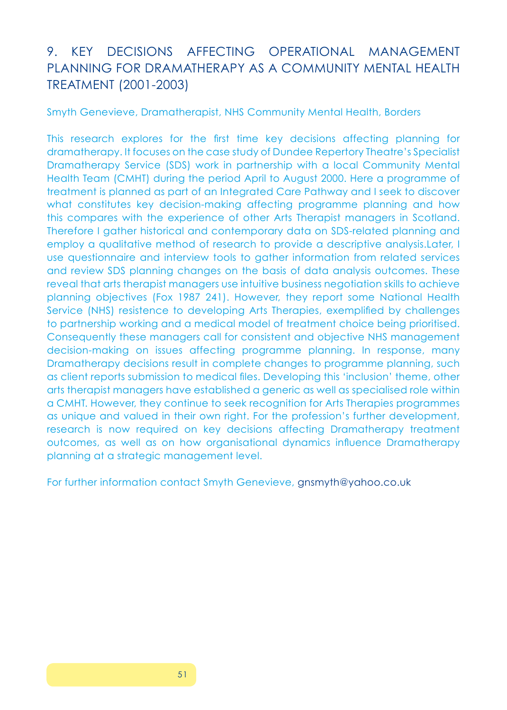## 9. KEY DECISIONS AFFECTING OPERATIONAL MANAGEMENT PLANNING FOR DRAMATHERAPY AS A COMMUNITY MENTAL HEALTH TREATMENT (2001-2003)

Smyth Genevieve, Dramatherapist, NHS Community Mental Health, Borders

This research explores for the first time key decisions affecting planning for dramatherapy. It focuses on the case study of Dundee Repertory Theatre's Specialist Dramatherapy Service (SDS) work in partnership with a local Community Mental Health Team (CMHT) during the period April to August 2000. Here a programme of treatment is planned as part of an Integrated Care Pathway and I seek to discover what constitutes key decision-making affecting programme planning and how this compares with the experience of other Arts Therapist managers in Scotland. Therefore I gather historical and contemporary data on SDS-related planning and employ a qualitative method of research to provide a descriptive analysis.Later, I use questionnaire and interview tools to gather information from related services and review SDS planning changes on the basis of data analysis outcomes. These reveal that arts therapist managers use intuitive business negotiation skills to achieve planning objectives (Fox 1987 241). However, they report some National Health Service (NHS) resistence to developing Arts Therapies, exemplified by challenges to partnership working and a medical model of treatment choice being prioritised. Consequently these managers call for consistent and objective NHS management decision-making on issues affecting programme planning. In response, many Dramatherapy decisions result in complete changes to programme planning, such as client reports submission to medical files. Developing this 'inclusion' theme, other arts therapist managers have established a generic as well as specialised role within a CMHT. However, they continue to seek recognition for Arts Therapies programmes as unique and valued in their own right. For the profession's further development, research is now required on key decisions affecting Dramatherapy treatment outcomes, as well as on how organisational dynamics influence Dramatherapy planning at a strategic management level.

For further information contact Smyth Genevieve, gnsmyth@yahoo.co.uk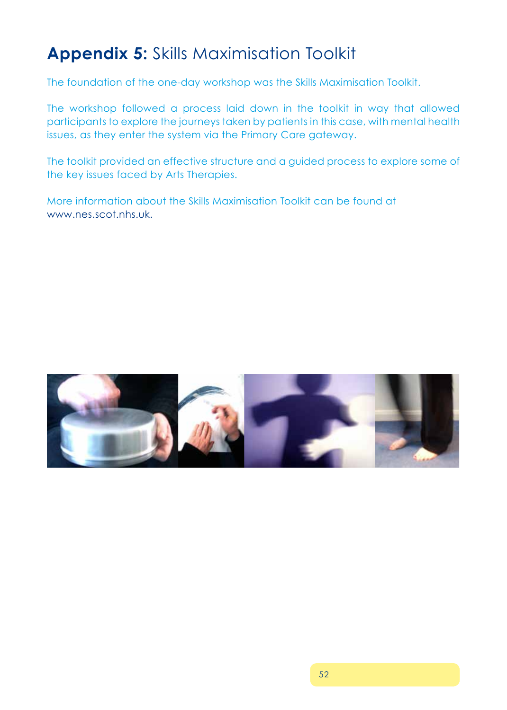## **Appendix 5:** Skills Maximisation Toolkit

The foundation of the one-day workshop was the Skills Maximisation Toolkit.

The workshop followed a process laid down in the toolkit in way that allowed participants to explore the journeys taken by patients in this case, with mental health issues, as they enter the system via the Primary Care gateway.

The toolkit provided an effective structure and a guided process to explore some of the key issues faced by Arts Therapies.

More information about the Skills Maximisation Toolkit can be found at www.nes.scot.nhs.uk.

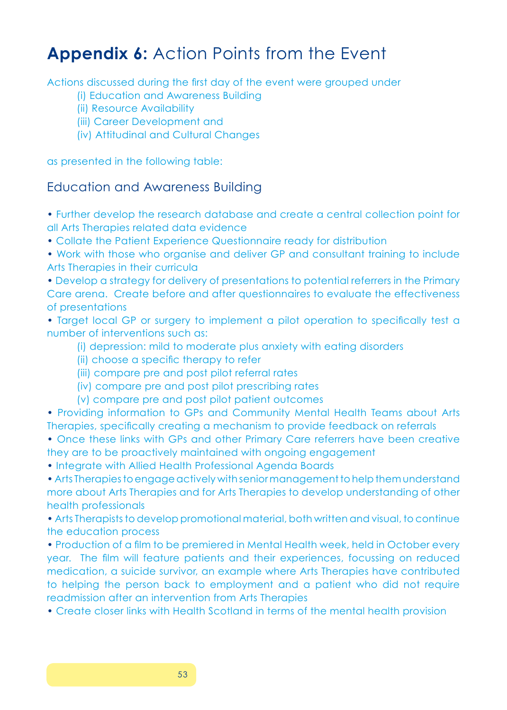## **Appendix 6:** Action Points from the Event

Actions discussed during the first day of the event were grouped under

- (i) Education and Awareness Building
- (ii) Resource Availability
- (iii) Career Development and
- (iv) Attitudinal and Cultural Changes

as presented in the following table:

### Education and Awareness Building

• Further develop the research database and create a central collection point for all Arts Therapies related data evidence

- Collate the Patient Experience Questionnaire ready for distribution
- Work with those who organise and deliver GP and consultant training to include Arts Therapies in their curricula

• Develop a strategy for delivery of presentations to potential referrers in the Primary Care arena. Create before and after questionnaires to evaluate the effectiveness of presentations

• Target local GP or surgery to implement a pilot operation to specifically test a number of interventions such as:

- (i) depression: mild to moderate plus anxiety with eating disorders
- (ii) choose a specific therapy to refer
- (iii) compare pre and post pilot referral rates
- (iv) compare pre and post pilot prescribing rates
- (v) compare pre and post pilot patient outcomes

• Providing information to GPs and Community Mental Health Teams about Arts Therapies, specifically creating a mechanism to provide feedback on referrals

- Once these links with GPs and other Primary Care referrers have been creative they are to be proactively maintained with ongoing engagement
- Integrate with Allied Health Professional Agenda Boards

• Arts Therapies to engage actively with senior management to help them understand more about Arts Therapies and for Arts Therapies to develop understanding of other health professionals

• Arts Therapists to develop promotional material, both written and visual, to continue the education process

• Production of a film to be premiered in Mental Health week, held in October every year. The film will feature patients and their experiences, focussing on reduced medication, a suicide survivor, an example where Arts Therapies have contributed to helping the person back to employment and a patient who did not require readmission after an intervention from Arts Therapies

• Create closer links with Health Scotland in terms of the mental health provision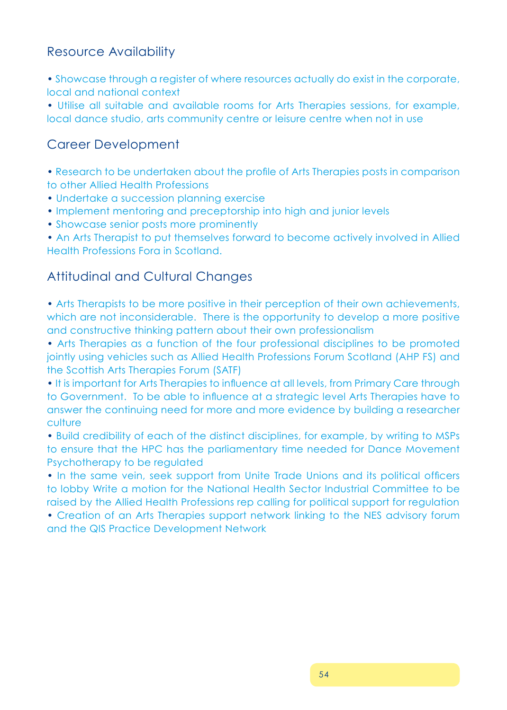## Resource Availability

• Showcase through a register of where resources actually do exist in the corporate, local and national context

• Utilise all suitable and available rooms for Arts Therapies sessions, for example, local dance studio, arts community centre or leisure centre when not in use

## Career Development

• Research to be undertaken about the profile of Arts Therapies posts in comparison to other Allied Health Professions

- Undertake a succession planning exercise
- Implement mentoring and preceptorship into high and junior levels
- Showcase senior posts more prominently

• An Arts Therapist to put themselves forward to become actively involved in Allied Health Professions Fora in Scotland.

## Attitudinal and Cultural Changes

• Arts Therapists to be more positive in their perception of their own achievements, which are not inconsiderable. There is the opportunity to develop a more positive and constructive thinking pattern about their own professionalism

• Arts Therapies as a function of the four professional disciplines to be promoted jointly using vehicles such as Allied Health Professions Forum Scotland (AHP FS) and the Scottish Arts Therapies Forum (SATF)

• It is important for Arts Therapies to influence at all levels, from Primary Care through to Government. To be able to influence at a strategic level Arts Therapies have to answer the continuing need for more and more evidence by building a researcher culture

• Build credibility of each of the distinct disciplines, for example, by writing to MSPs to ensure that the HPC has the parliamentary time needed for Dance Movement Psychotherapy to be regulated

• In the same vein, seek support from Unite Trade Unions and its political officers to lobby Write a motion for the National Health Sector Industrial Committee to be raised by the Allied Health Professions rep calling for political support for regulation

• Creation of an Arts Therapies support network linking to the NES advisory forum and the QIS Practice Development Network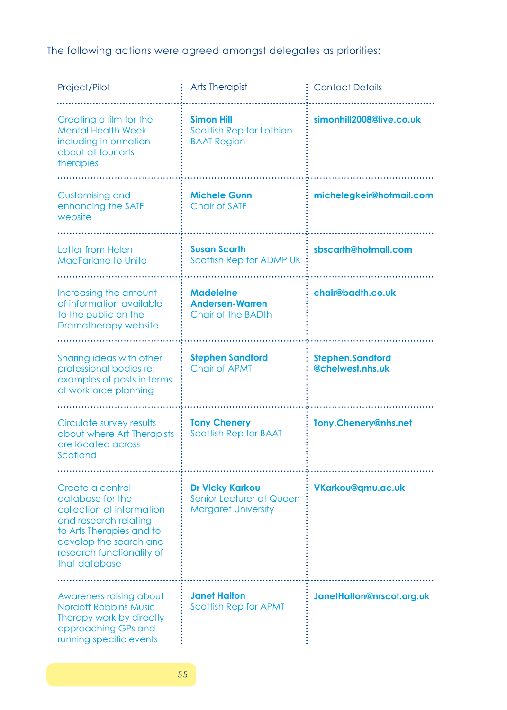The following actions were agreed amongst delegates as priorities:

| Project/Pilot                                                                                                                                                                                  | <b>Arts Therapist</b>                                                            | <b>Contact Details</b>                      |  |  |
|------------------------------------------------------------------------------------------------------------------------------------------------------------------------------------------------|----------------------------------------------------------------------------------|---------------------------------------------|--|--|
|                                                                                                                                                                                                |                                                                                  |                                             |  |  |
| Creating a film for the<br><b>Mental Health Week</b><br>including information<br>about all four arts<br>therapies                                                                              | <b>Simon Hill</b><br>Scottish Rep for Lothian<br><b>BAAT Region</b>              | simonhill2008@live.co.uk                    |  |  |
| <b>Customising and</b><br>enhancing the SATF<br>website                                                                                                                                        | <b>Michele Gunn</b><br><b>Chair of SATF</b>                                      | michelegkeir@hotmail.com                    |  |  |
| Letter from Helen<br><b>MacFarlane to Unite</b>                                                                                                                                                | <b>Susan Scarth</b><br>Scottish Rep for ADMP UK                                  | sbscarth@hotmail.com                        |  |  |
|                                                                                                                                                                                                |                                                                                  |                                             |  |  |
| Increasing the amount<br>of information available<br>to the public on the<br>Dramatherapy website                                                                                              | <b>Madeleine</b><br><b>Andersen-Warren</b><br>Chair of the BADth                 | chair@badth.co.uk                           |  |  |
|                                                                                                                                                                                                |                                                                                  |                                             |  |  |
| Sharing ideas with other<br>professional bodies re:<br>examples of posts in terms<br>of workforce planning                                                                                     | <b>Stephen Sandford</b><br><b>Chair of APMT</b>                                  | <b>Stephen.Sandford</b><br>@chelwest.nhs.uk |  |  |
|                                                                                                                                                                                                |                                                                                  |                                             |  |  |
| Circulate survey results<br>about where Art Therapists<br>are located across<br>Scotland                                                                                                       | <b>Tony Chenery</b><br><b>Scottish Rep for BAAT</b>                              | Tony.Chenery@nhs.net                        |  |  |
|                                                                                                                                                                                                |                                                                                  |                                             |  |  |
| Create a central<br>database for the<br>collection of information<br>and research relating<br>to Arts Therapies and to<br>develop the search and<br>research functionality of<br>that database | <b>Dr Vicky Karkou</b><br>Senior Lecturer at Queen<br><b>Margaret University</b> | VKarkou@gmu.ac.uk                           |  |  |
|                                                                                                                                                                                                |                                                                                  |                                             |  |  |
| Awareness raising about<br><b>Nordoff Robbins Music</b><br>Therapy work by directly<br>approaching GPs and<br>running specific events                                                          | <b>Janet Halton</b><br><b>Scottish Rep for APMT</b>                              | JanetHalton@nrscot.org.uk                   |  |  |